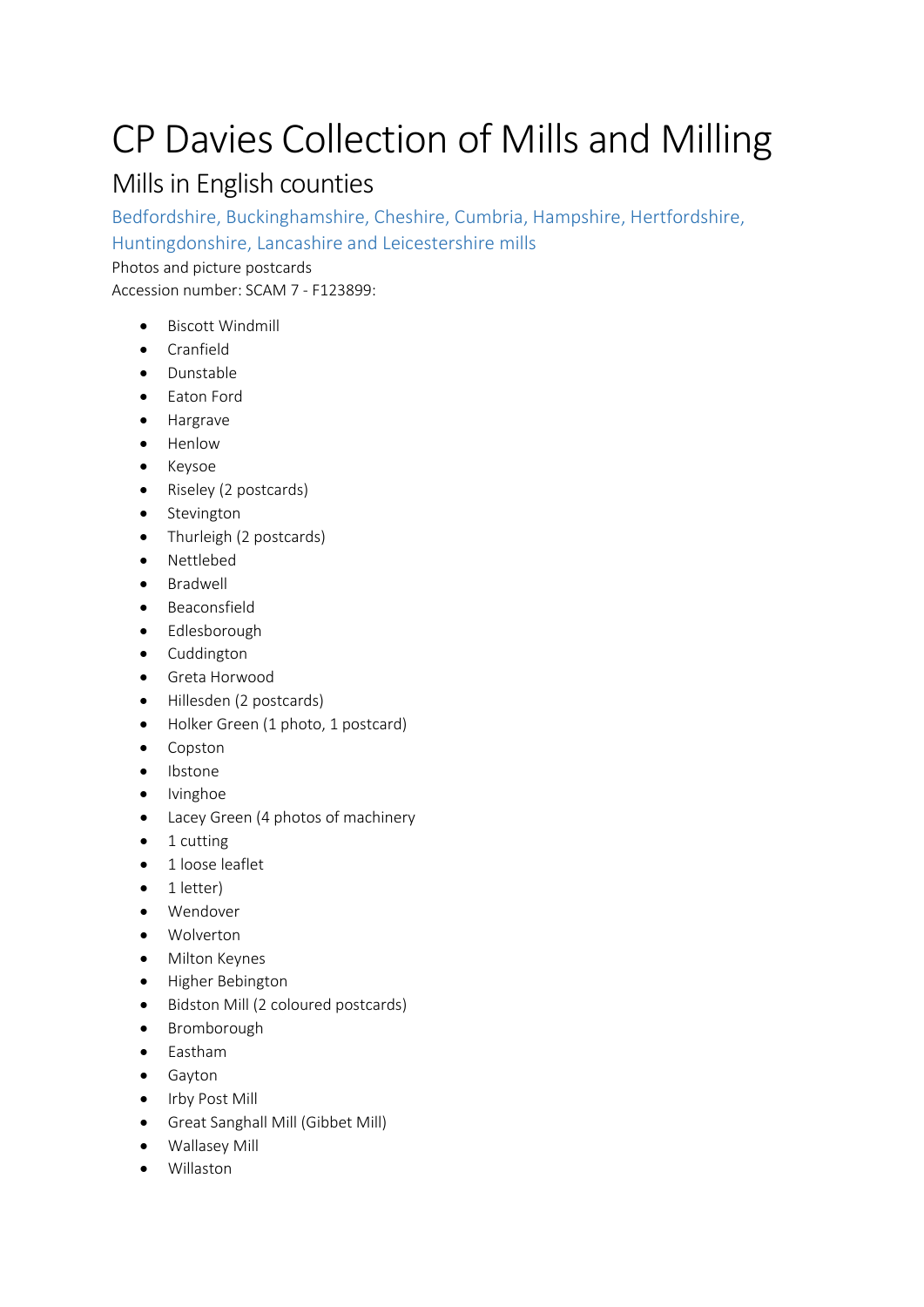# CP Davies Collection of Mills and Milling

# Mills in English counties

Bedfordshire, Buckinghamshire, Cheshire, Cumbria, Hampshire, Hertfordshire,

Huntingdonshire, Lancashire and Leicestershire mills

Photos and picture postcards

Accession number: SCAM 7 - F123899:

- Biscott Windmill
- Cranfield
- Dunstable
- Eaton Ford
- Hargrave
- Henlow
- Keysoe
- Riseley (2 postcards)
- Stevington
- Thurleigh (2 postcards)
- Nettlebed
- Bradwell
- Beaconsfield
- Edlesborough
- Cuddington
- Greta Horwood
- Hillesden (2 postcards)
- Holker Green (1 photo, 1 postcard)
- Copston
- Ibstone
- Ivinghoe
- Lacey Green (4 photos of machinery
- 1 cutting
- 1 loose leaflet
- 1 letter)
- Wendover
- Wolverton
- Milton Keynes
- Higher Bebington
- Bidston Mill (2 coloured postcards)
- Bromborough
- Eastham
- Gayton
- Irby Post Mill
- Great Sanghall Mill (Gibbet Mill)
- Wallasey Mill
- Willaston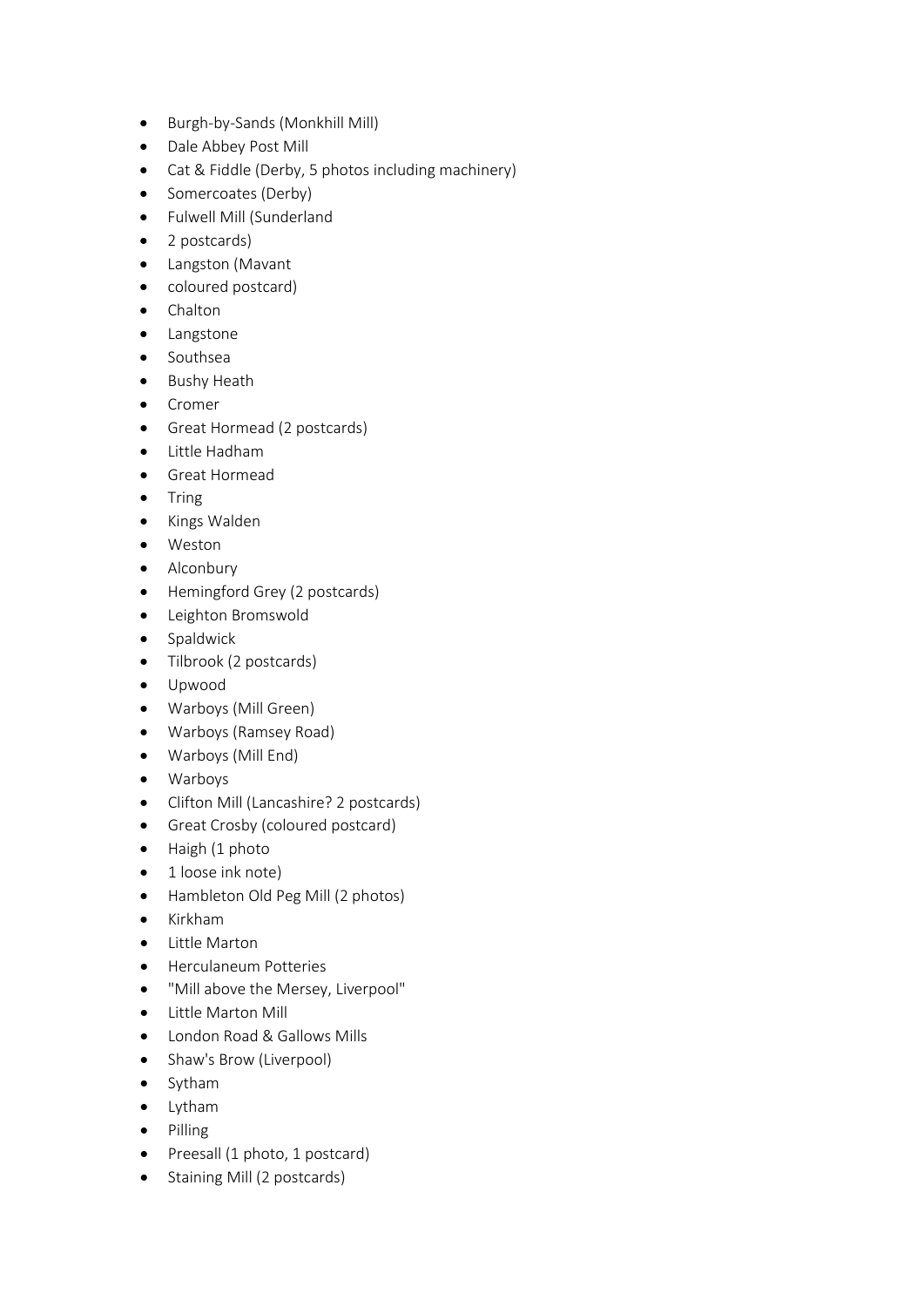- Burgh-by-Sands (Monkhill Mill)
- Dale Abbey Post Mill
- Cat & Fiddle (Derby, 5 photos including machinery)
- Somercoates (Derby)
- Fulwell Mill (Sunderland
- 2 postcards)
- Langston (Mavant
- coloured postcard)
- Chalton
- Langstone
- Southsea
- Bushy Heath
- Cromer
- Great Hormead (2 postcards)
- Little Hadham
- Great Hormead
- Tring
- Kings Walden
- Weston
- Alconbury
- Hemingford Grey (2 postcards)
- Leighton Bromswold
- Spaldwick
- Tilbrook (2 postcards)
- Upwood
- Warboys (Mill Green)
- Warboys (Ramsey Road)
- Warboys (Mill End)
- Warboys
- Clifton Mill (Lancashire? 2 postcards)
- Great Crosby (coloured postcard)
- Haigh (1 photo
- 1 loose ink note)
- Hambleton Old Peg Mill (2 photos)
- Kirkham
- Little Marton
- Herculaneum Potteries
- "Mill above the Mersey, Liverpool"
- Little Marton Mill
- London Road & Gallows Mills
- Shaw's Brow (Liverpool)
- Sytham
- Lytham
- Pilling
- Preesall (1 photo, 1 postcard)
- Staining Mill (2 postcards)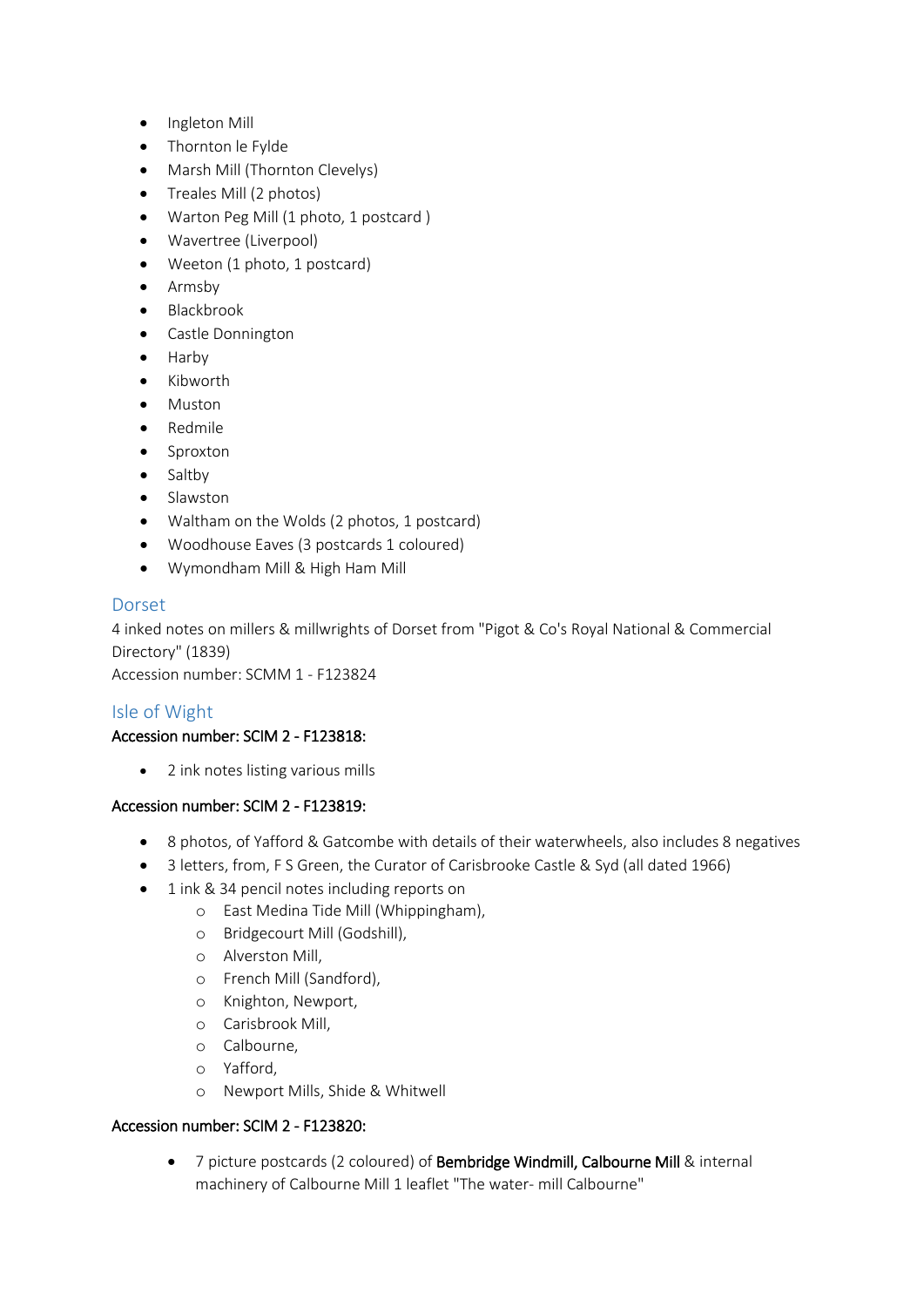- Ingleton Mill
- Thornton le Fylde
- Marsh Mill (Thornton Clevelys)
- Treales Mill (2 photos)
- Warton Peg Mill (1 photo, 1 postcard)
- Wavertree (Liverpool)
- Weeton (1 photo, 1 postcard)
- Armsby
- Blackbrook
- Castle Donnington
- Harby
- Kibworth
- Muston
- Redmile
- Sproxton
- Saltby
- Slawston
- Waltham on the Wolds (2 photos, 1 postcard)
- Woodhouse Eaves (3 postcards 1 coloured)
- Wymondham Mill & High Ham Mill

# Dorset

4 inked notes on millers & millwrights of Dorset from "Pigot & Co's Royal National & Commercial Directory" (1839)

Accession number: SCMM 1 - F123824

# Isle of Wight

# Accession number: SCIM 2 - F123818:

• 2 ink notes listing various mills

# Accession number: SCIM 2 - F123819:

- 8 photos, of Yafford & Gatcombe with details of their waterwheels, also includes 8 negatives
- 3 letters, from, F S Green, the Curator of Carisbrooke Castle & Syd (all dated 1966)
- 1 ink & 34 pencil notes including reports on
	- o East Medina Tide Mill (Whippingham),
	- o Bridgecourt Mill (Godshill),
	- o Alverston Mill,
	- o French Mill (Sandford),
	- o Knighton, Newport,
	- o Carisbrook Mill,
	- o Calbourne,
	- o Yafford,
	- o Newport Mills, Shide & Whitwell

# Accession number: SCIM 2 - F123820:

• 7 picture postcards (2 coloured) of Bembridge Windmill, Calbourne Mill & internal machinery of Calbourne Mill 1 leaflet "The water- mill Calbourne"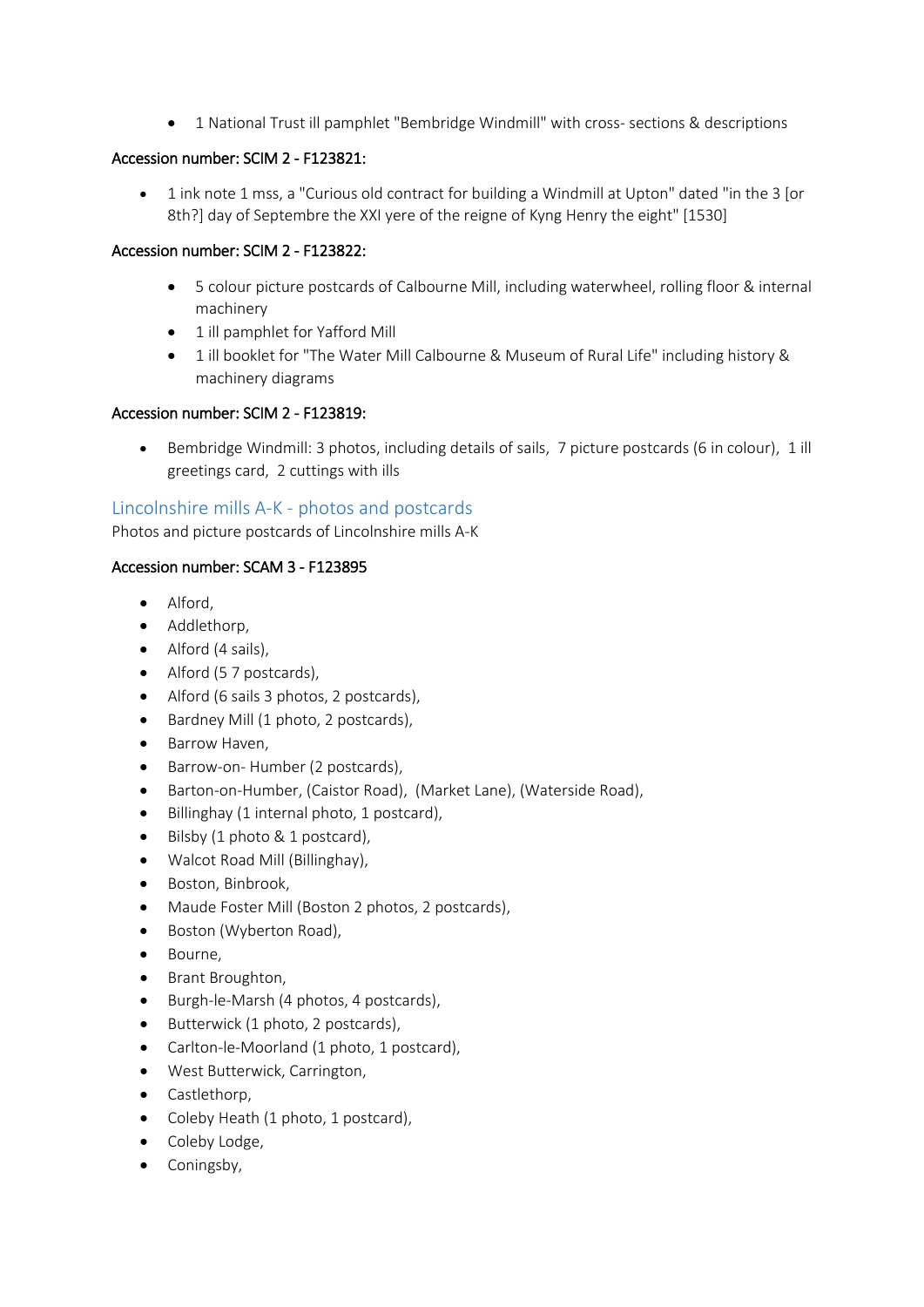• 1 National Trust ill pamphlet "Bembridge Windmill" with cross- sections & descriptions

# Accession number: SCIM 2 - F123821:

• 1 ink note 1 mss, a "Curious old contract for building a Windmill at Upton" dated "in the 3 [or 8th?] day of Septembre the XXI yere of the reigne of Kyng Henry the eight" [1530]

# Accession number: SCIM 2 - F123822:

- 5 colour picture postcards of Calbourne Mill, including waterwheel, rolling floor & internal machinery
- 1 ill pamphlet for Yafford Mill
- 1 ill booklet for "The Water Mill Calbourne & Museum of Rural Life" including history & machinery diagrams

# Accession number: SCIM 2 - F123819:

Bembridge Windmill: 3 photos, including details of sails, 7 picture postcards (6 in colour), 1 ill greetings card, 2 cuttings with ills

# Lincolnshire mills A-K - photos and postcards

Photos and picture postcards of Lincolnshire mills A-K

# Accession number: SCAM 3 - F123895

- Alford,
- Addlethorp,
- Alford (4 sails),
- Alford (5 7 postcards),
- Alford (6 sails 3 photos, 2 postcards),
- Bardney Mill (1 photo, 2 postcards),
- Barrow Haven,
- Barrow-on- Humber (2 postcards),
- Barton-on-Humber, (Caistor Road), (Market Lane), (Waterside Road),
- Billinghay (1 internal photo, 1 postcard),
- Bilsby (1 photo & 1 postcard),
- Walcot Road Mill (Billinghay),
- Boston, Binbrook,
- Maude Foster Mill (Boston 2 photos, 2 postcards),
- Boston (Wyberton Road),
- Bourne,
- Brant Broughton,
- Burgh-le-Marsh (4 photos, 4 postcards),
- Butterwick (1 photo, 2 postcards),
- Carlton-le-Moorland (1 photo, 1 postcard),
- West Butterwick, Carrington,
- Castlethorp,
- Coleby Heath (1 photo, 1 postcard),
- Coleby Lodge,
- Coningsby,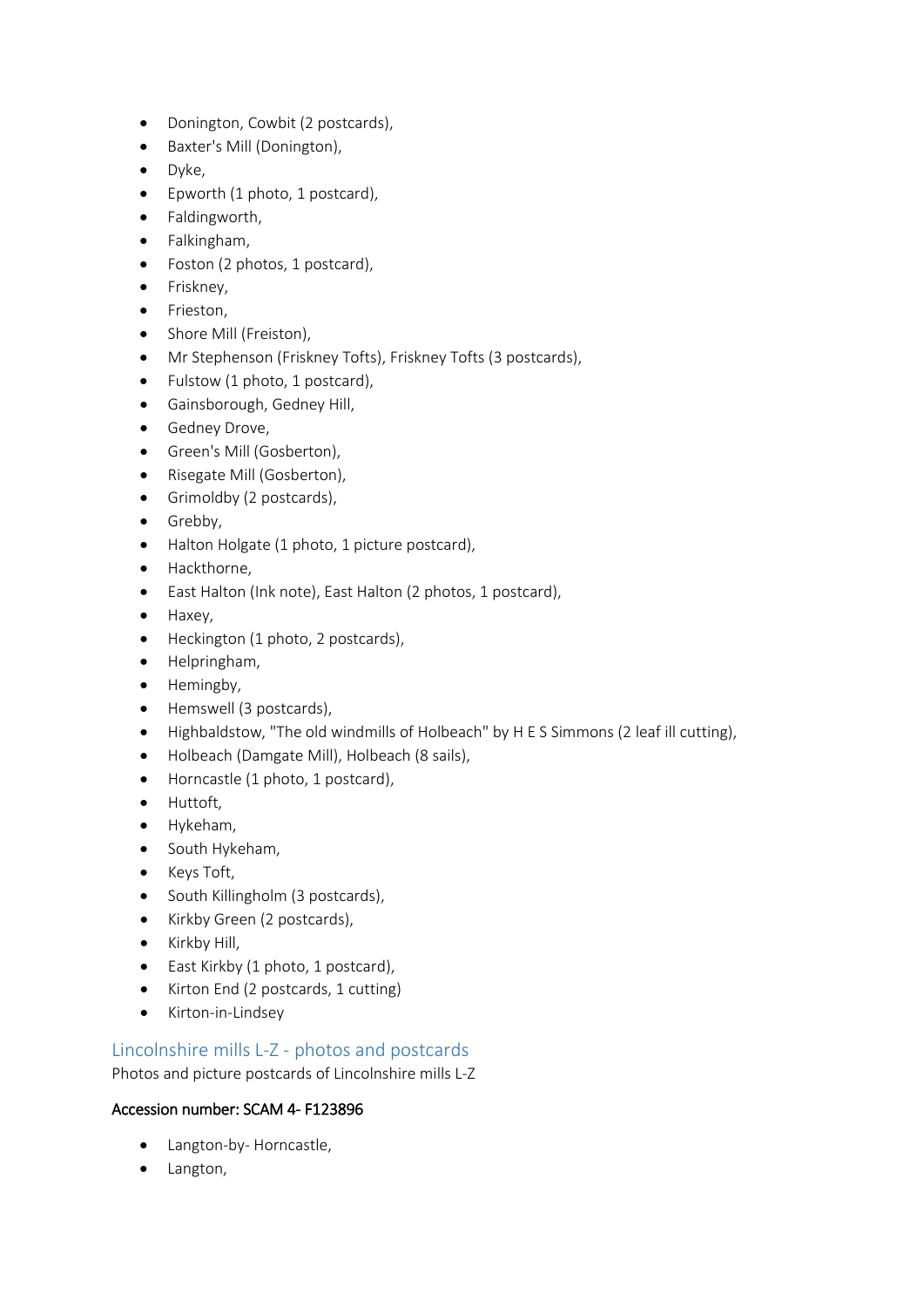- Donington, Cowbit (2 postcards),
- Baxter's Mill (Donington),
- Dyke,
- Epworth (1 photo, 1 postcard),
- Faldingworth,
- Falkingham,
- Foston (2 photos, 1 postcard),
- Friskney,
- Frieston,
- Shore Mill (Freiston),
- Mr Stephenson (Friskney Tofts), Friskney Tofts (3 postcards),
- Fulstow (1 photo, 1 postcard),
- Gainsborough, Gedney Hill,
- Gedney Drove,
- Green's Mill (Gosberton),
- Risegate Mill (Gosberton),
- Grimoldby (2 postcards),
- Grebby,
- Halton Holgate (1 photo, 1 picture postcard),
- Hackthorne,
- East Halton (Ink note), East Halton (2 photos, 1 postcard),
- Haxey,
- Heckington (1 photo, 2 postcards),
- Helpringham,
- Hemingby,
- Hemswell (3 postcards),
- Highbaldstow, "The old windmills of Holbeach" by H E S Simmons (2 leaf ill cutting),
- Holbeach (Damgate Mill), Holbeach (8 sails),
- Horncastle (1 photo, 1 postcard),
- Huttoft,
- Hykeham,
- South Hykeham,
- Keys Toft,
- South Killingholm (3 postcards),
- Kirkby Green (2 postcards),
- Kirkby Hill,
- East Kirkby (1 photo, 1 postcard),
- Kirton End (2 postcards, 1 cutting)
- Kirton-in-Lindsey

# Lincolnshire mills L-Z - photos and postcards

Photos and picture postcards of Lincolnshire mills L-Z

# Accession number: SCAM 4- F123896

- Langton-by- Horncastle,
- Langton,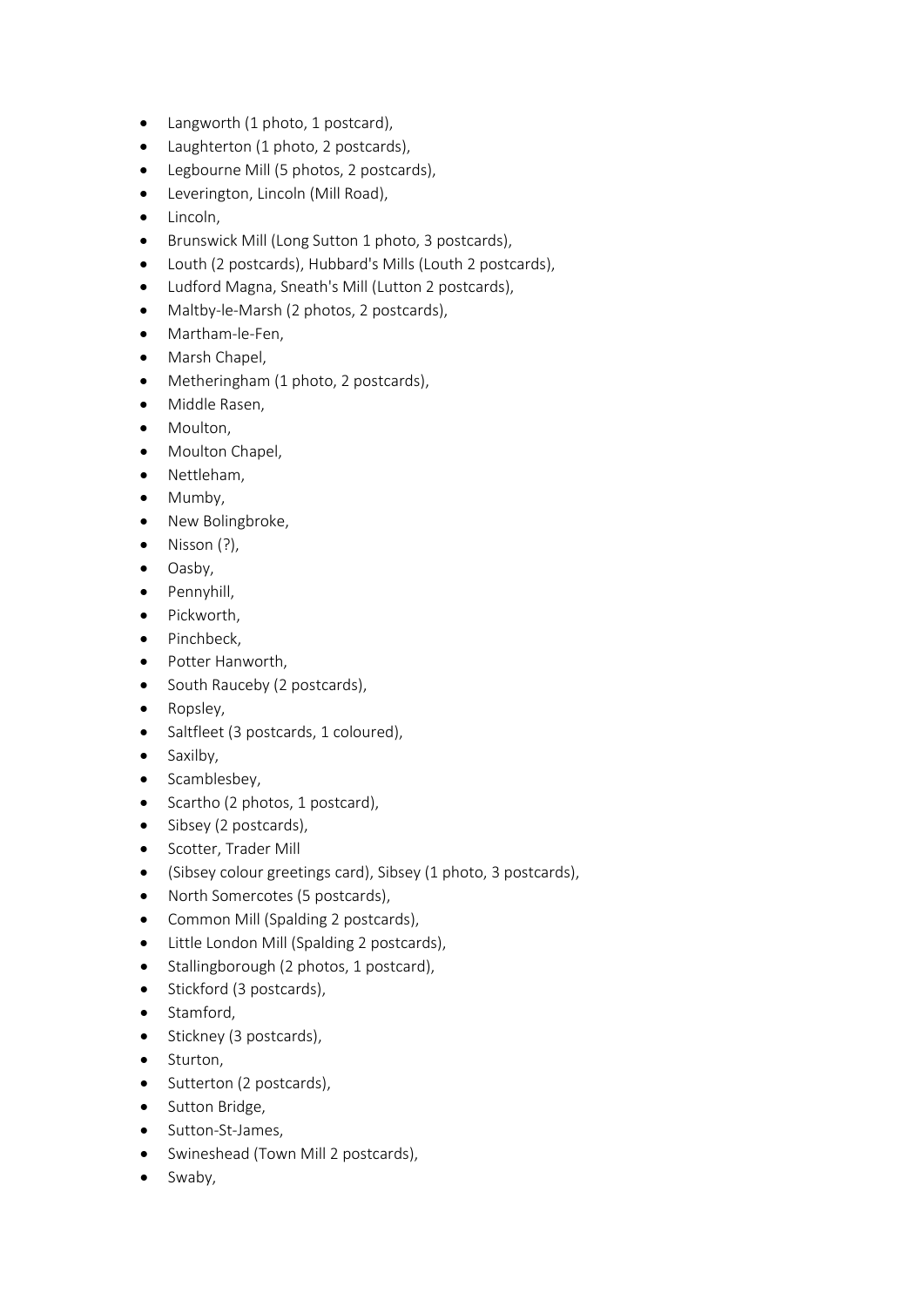- Langworth (1 photo, 1 postcard),
- Laughterton (1 photo, 2 postcards),
- Legbourne Mill (5 photos, 2 postcards),
- Leverington, Lincoln (Mill Road),
- Lincoln,
- Brunswick Mill (Long Sutton 1 photo, 3 postcards),
- Louth (2 postcards), Hubbard's Mills (Louth 2 postcards),
- Ludford Magna, Sneath's Mill (Lutton 2 postcards),
- Maltby-le-Marsh (2 photos, 2 postcards),
- Martham-le-Fen,
- Marsh Chapel,
- Metheringham (1 photo, 2 postcards),
- Middle Rasen,
- Moulton,
- Moulton Chapel,
- Nettleham,
- Mumby,
- New Bolingbroke,
- $\bullet$  Nisson  $(?)$ ,
- Oasby,
- Pennyhill,
- Pickworth,
- Pinchbeck,
- Potter Hanworth,
- South Rauceby (2 postcards),
- Ropsley,
- Saltfleet (3 postcards, 1 coloured),
- Saxilby,
- Scamblesbey,
- Scartho (2 photos, 1 postcard),
- Sibsey (2 postcards),
- Scotter, Trader Mill
- (Sibsey colour greetings card), Sibsey (1 photo, 3 postcards),
- North Somercotes (5 postcards),
- Common Mill (Spalding 2 postcards),
- Little London Mill (Spalding 2 postcards),
- Stallingborough (2 photos, 1 postcard),
- Stickford (3 postcards),
- Stamford,
- Stickney (3 postcards),
- Sturton,
- Sutterton (2 postcards),
- Sutton Bridge,
- Sutton-St-James,
- Swineshead (Town Mill 2 postcards),
- Swaby,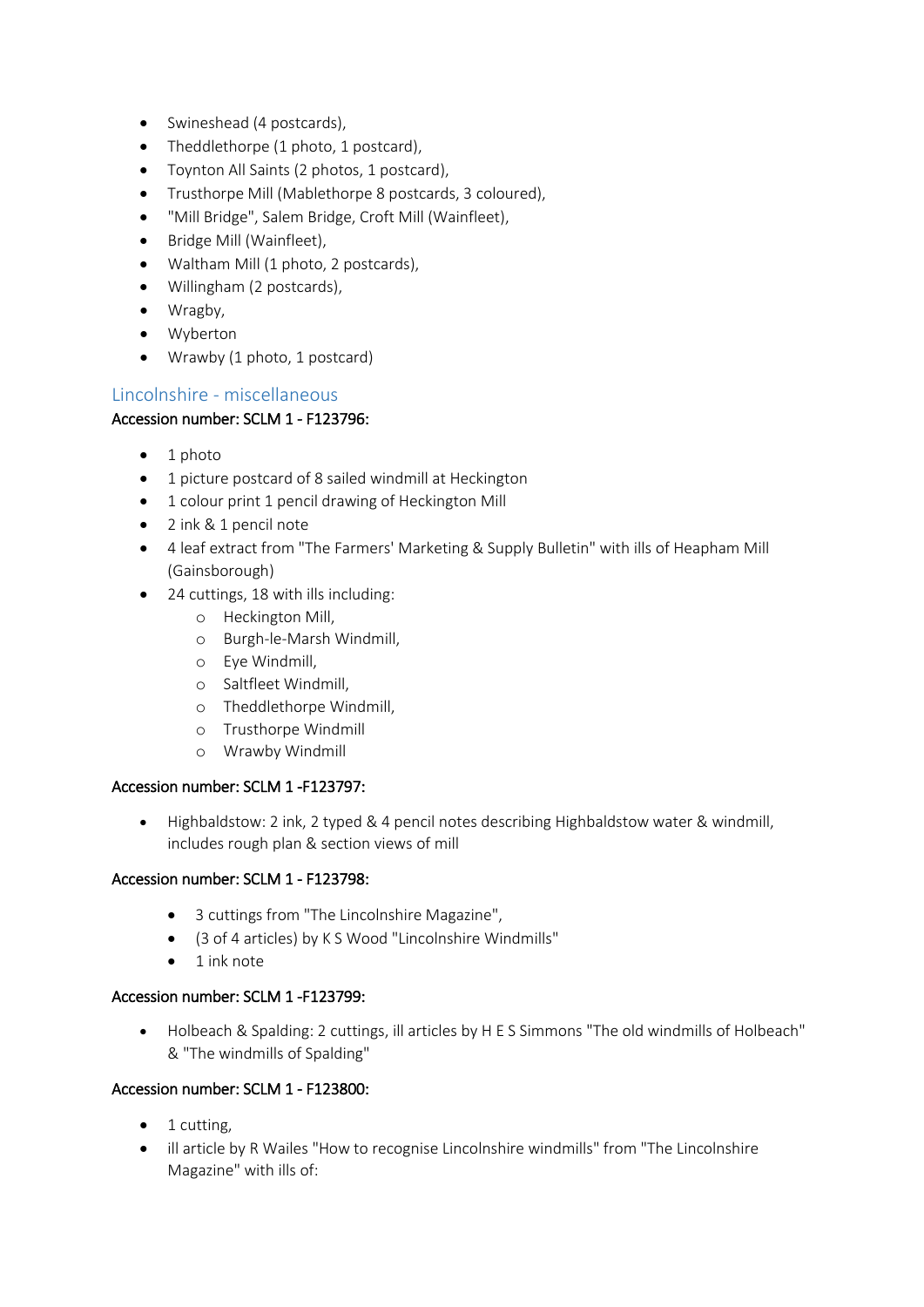- Swineshead (4 postcards),
- Theddlethorpe (1 photo, 1 postcard),
- Toynton All Saints (2 photos, 1 postcard),
- Trusthorpe Mill (Mablethorpe 8 postcards, 3 coloured),
- "Mill Bridge", Salem Bridge, Croft Mill (Wainfleet),
- Bridge Mill (Wainfleet),
- Waltham Mill (1 photo, 2 postcards),
- Willingham (2 postcards),
- Wragby,
- Wyberton
- Wrawby (1 photo, 1 postcard)

# Lincolnshire - miscellaneous

# Accession number: SCLM 1 - F123796:

- $\bullet$  1 photo
- 1 picture postcard of 8 sailed windmill at Heckington
- 1 colour print 1 pencil drawing of Heckington Mill
- 2 ink & 1 pencil note
- 4 leaf extract from "The Farmers' Marketing & Supply Bulletin" with ills of Heapham Mill (Gainsborough)
- 24 cuttings, 18 with ills including:
	- o Heckington Mill,
	- o Burgh-le-Marsh Windmill,
	- o Eye Windmill,
	- o Saltfleet Windmill,
	- o Theddlethorpe Windmill,
	- o Trusthorpe Windmill
	- o Wrawby Windmill

# Accession number: SCLM 1 -F123797:

• Highbaldstow: 2 ink, 2 typed & 4 pencil notes describing Highbaldstow water & windmill, includes rough plan & section views of mill

# Accession number: SCLM 1 - F123798:

- 3 cuttings from "The Lincolnshire Magazine",
- (3 of 4 articles) by K S Wood "Lincolnshire Windmills"
- 1 ink note

# Accession number: SCLM 1 -F123799:

• Holbeach & Spalding: 2 cuttings, ill articles by H E S Simmons "The old windmills of Holbeach" & "The windmills of Spalding"

#### Accession number: SCLM 1 - F123800:

- 1 cutting,
- ill article by R Wailes "How to recognise Lincolnshire windmills" from "The Lincolnshire Magazine" with ills of: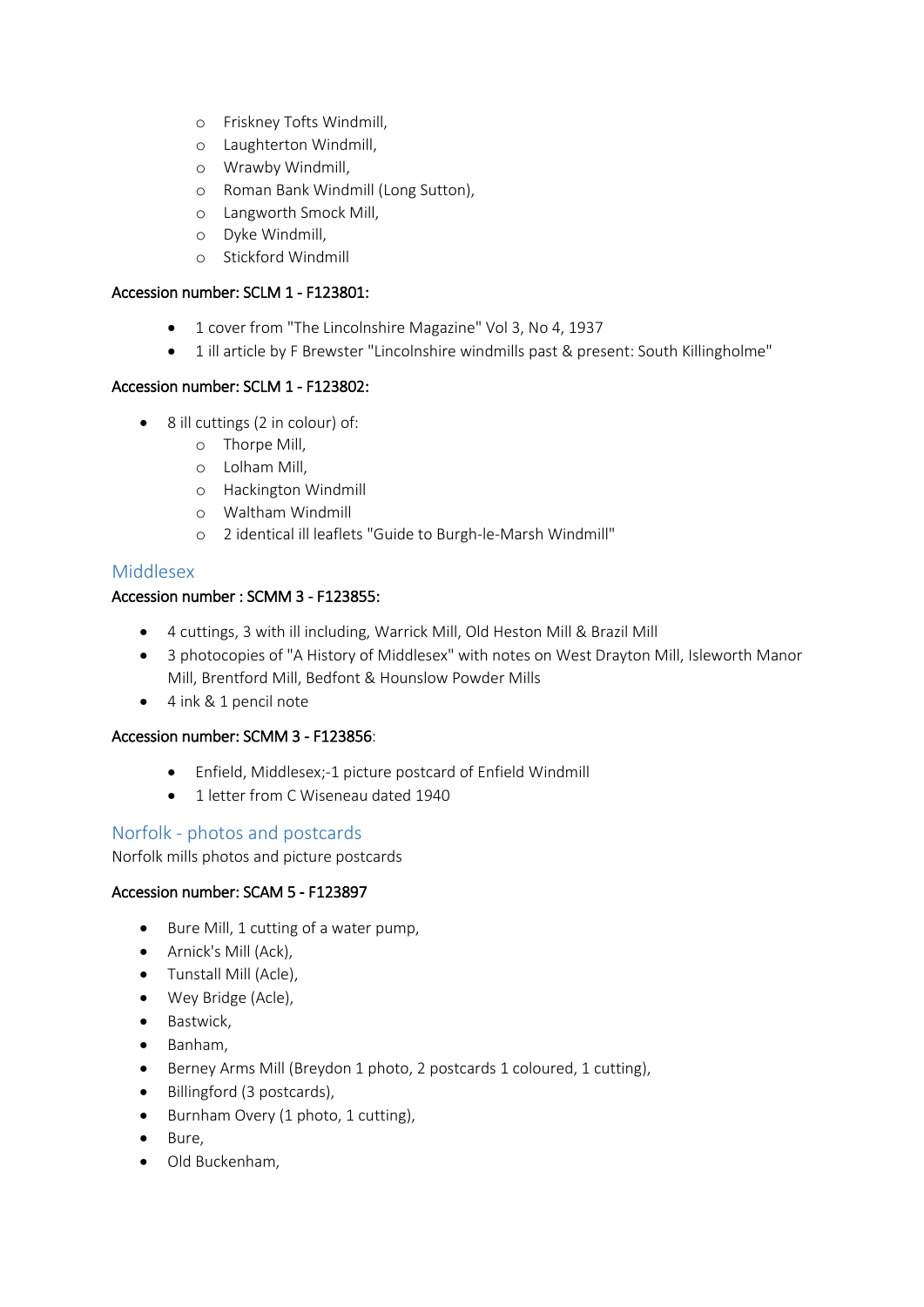- o Friskney Tofts Windmill,
- o Laughterton Windmill,
- o Wrawby Windmill,
- o Roman Bank Windmill (Long Sutton),
- o Langworth Smock Mill,
- o Dyke Windmill,
- o Stickford Windmill

# Accession number: SCLM 1 - F123801:

- 1 cover from "The Lincolnshire Magazine" Vol 3, No 4, 1937
- 1 ill article by F Brewster "Lincolnshire windmills past & present: South Killingholme"

# Accession number: SCLM 1 - F123802:

- 8 ill cuttings (2 in colour) of:
	- o Thorpe Mill,
	- o Lolham Mill,
	- o Hackington Windmill
	- o Waltham Windmill
	- o 2 identical ill leaflets "Guide to Burgh-le-Marsh Windmill"

# Middlesex

# Accession number : SCMM 3 - F123855:

- 4 cuttings, 3 with ill including, Warrick Mill, Old Heston Mill & Brazil Mill
- 3 photocopies of "A History of Middlesex" with notes on West Drayton Mill, Isleworth Manor Mill, Brentford Mill, Bedfont & Hounslow Powder Mills
- 4 ink & 1 pencil note

#### Accession number: SCMM 3 - F123856:

- Enfield, Middlesex;-1 picture postcard of Enfield Windmill
- 1 letter from C Wiseneau dated 1940

# Norfolk - photos and postcards

Norfolk mills photos and picture postcards

#### Accession number: SCAM 5 - F123897

- Bure Mill, 1 cutting of a water pump,
- Arnick's Mill (Ack),
- Tunstall Mill (Acle),
- Wey Bridge (Acle).
- Bastwick,
- Banham,
- Berney Arms Mill (Breydon 1 photo, 2 postcards 1 coloured, 1 cutting),
- Billingford (3 postcards),
- Burnham Overy (1 photo, 1 cutting),
- Bure,
- Old Buckenham,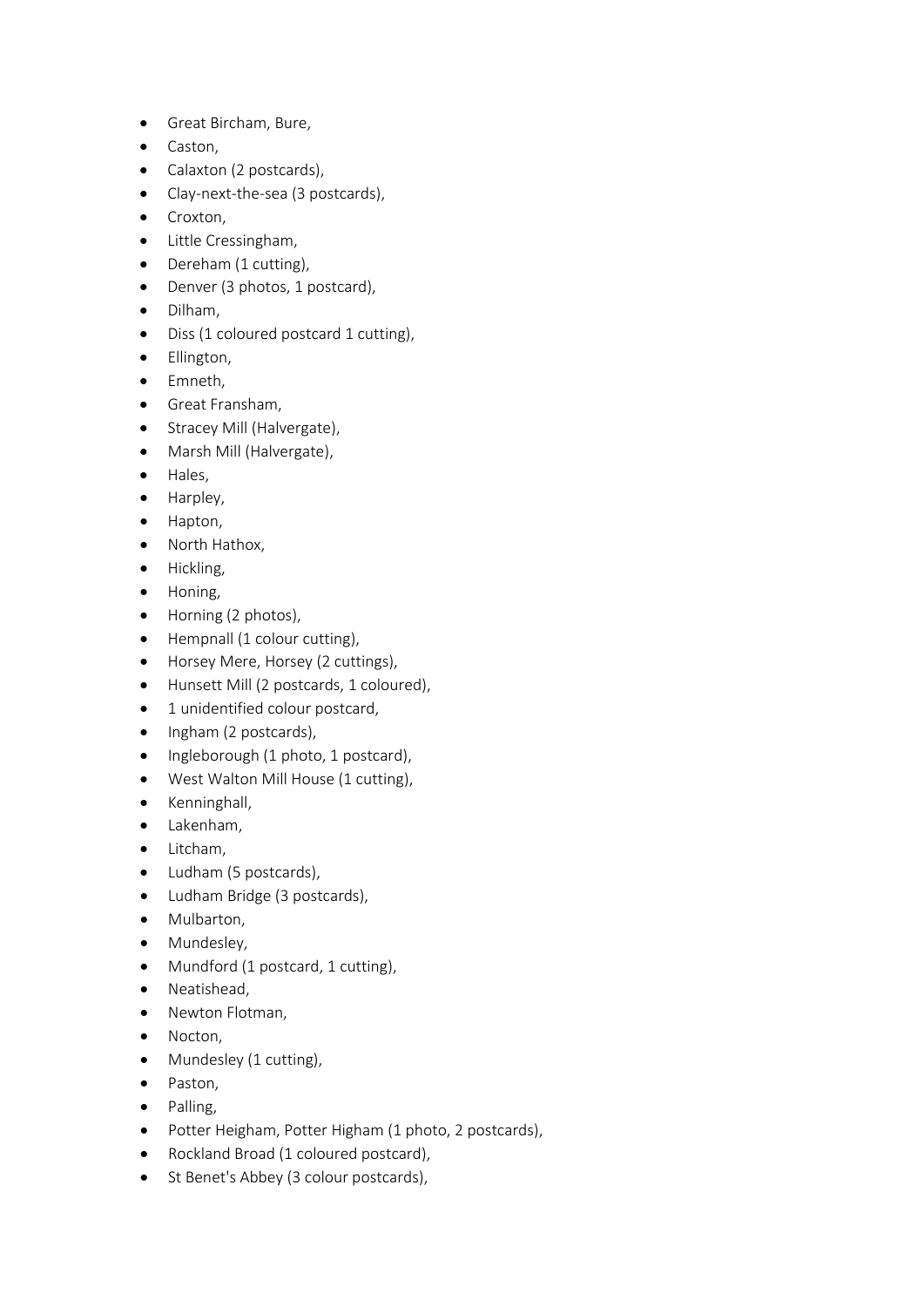- Great Bircham, Bure,
- Caston,
- Calaxton (2 postcards),
- Clay-next-the-sea (3 postcards),
- Croxton,
- Little Cressingham,
- Dereham (1 cutting),
- Denver (3 photos, 1 postcard),
- Dilham,
- Diss (1 coloured postcard 1 cutting),
- Ellington,
- Emneth,
- Great Fransham,
- Stracey Mill (Halvergate),
- Marsh Mill (Halvergate),
- Hales,
- Harpley,
- Hapton,
- North Hathox,
- Hickling,
- Honing,
- Horning (2 photos),
- Hempnall (1 colour cutting),
- Horsey Mere, Horsey (2 cuttings),
- Hunsett Mill (2 postcards, 1 coloured),
- 1 unidentified colour postcard,
- Ingham (2 postcards),
- Ingleborough (1 photo, 1 postcard),
- West Walton Mill House (1 cutting),
- Kenninghall,
- Lakenham,
- Litcham,
- Ludham (5 postcards),
- Ludham Bridge (3 postcards),
- Mulbarton,
- Mundesley,
- Mundford (1 postcard, 1 cutting),
- Neatishead,
- Newton Flotman,
- Nocton,
- Mundesley (1 cutting),
- Paston,
- Palling,
- Potter Heigham, Potter Higham (1 photo, 2 postcards),
- Rockland Broad (1 coloured postcard),
- St Benet's Abbey (3 colour postcards),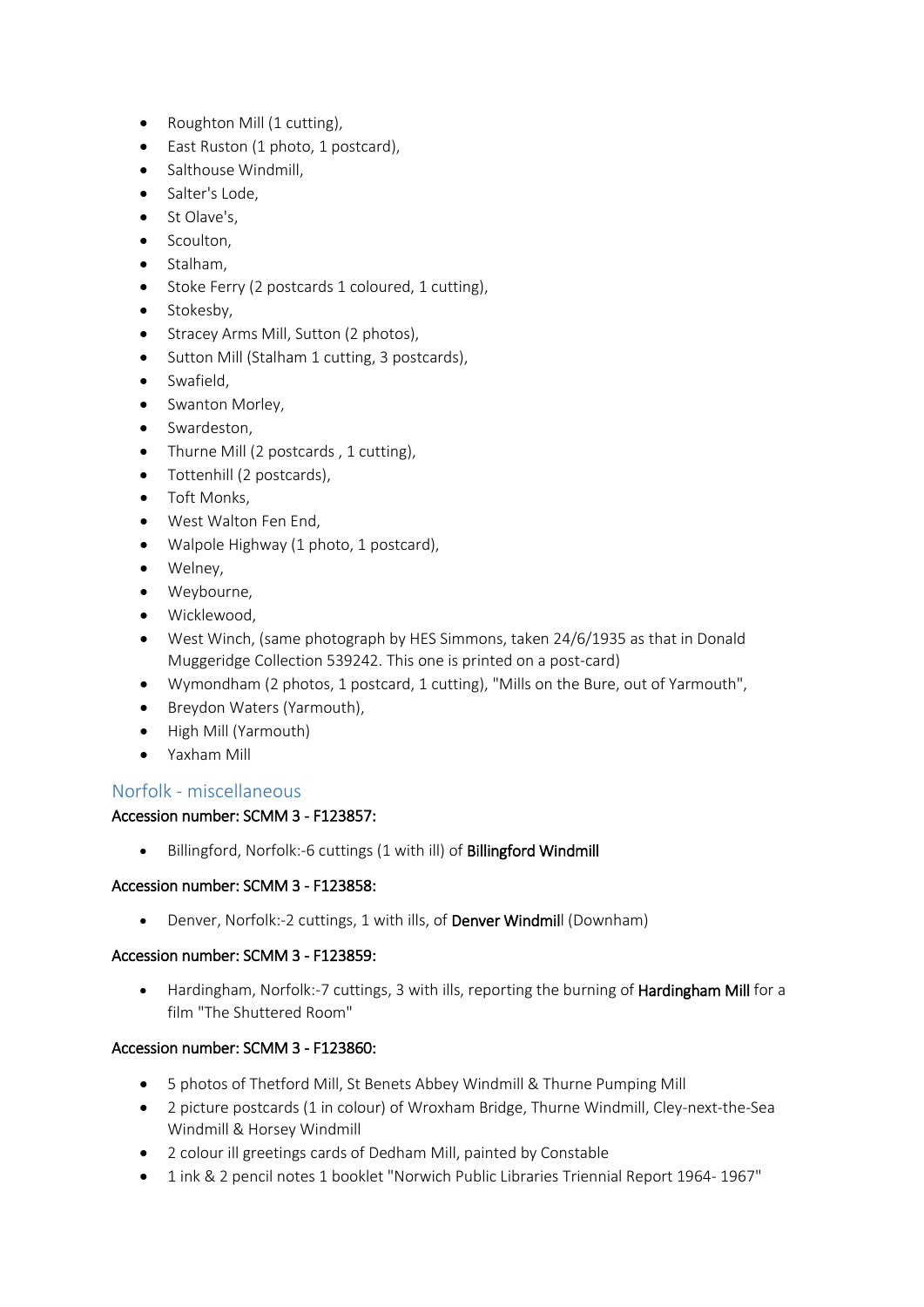- Roughton Mill (1 cutting),
- East Ruston (1 photo, 1 postcard),
- Salthouse Windmill,
- Salter's Lode,
- St Olave's,
- Scoulton,
- Stalham,
- Stoke Ferry (2 postcards 1 coloured, 1 cutting),
- Stokesby,
- Stracey Arms Mill, Sutton (2 photos),
- Sutton Mill (Stalham 1 cutting, 3 postcards),
- Swafield,
- Swanton Morley,
- Swardeston,
- Thurne Mill (2 postcards , 1 cutting),
- Tottenhill (2 postcards),
- Toft Monks,
- West Walton Fen End,
- Walpole Highway (1 photo, 1 postcard),
- Welney,
- Weybourne,
- Wicklewood,
- West Winch, (same photograph by HES Simmons, taken 24/6/1935 as that in Donald Muggeridge Collection 539242. This one is printed on a post-card)
- Wymondham (2 photos, 1 postcard, 1 cutting), "Mills on the Bure, out of Yarmouth",
- Breydon Waters (Yarmouth),
- High Mill (Yarmouth)
- Yaxham Mill

# Norfolk - miscellaneous

# Accession number: SCMM 3 - F123857:

• Billingford, Norfolk:-6 cuttings (1 with ill) of Billingford Windmill

# Accession number: SCMM 3 - F123858:

• Denver, Norfolk:-2 cuttings, 1 with ills, of Denver Windmill (Downham)

# Accession number: SCMM 3 - F123859:

• Hardingham, Norfolk:-7 cuttings, 3 with ills, reporting the burning of Hardingham Mill for a film "The Shuttered Room"

# Accession number: SCMM 3 - F123860:

- 5 photos of Thetford Mill, St Benets Abbey Windmill & Thurne Pumping Mill
- 2 picture postcards (1 in colour) of Wroxham Bridge, Thurne Windmill, Cley-next-the-Sea Windmill & Horsey Windmill
- 2 colour ill greetings cards of Dedham Mill, painted by Constable
- 1 ink & 2 pencil notes 1 booklet "Norwich Public Libraries Triennial Report 1964- 1967"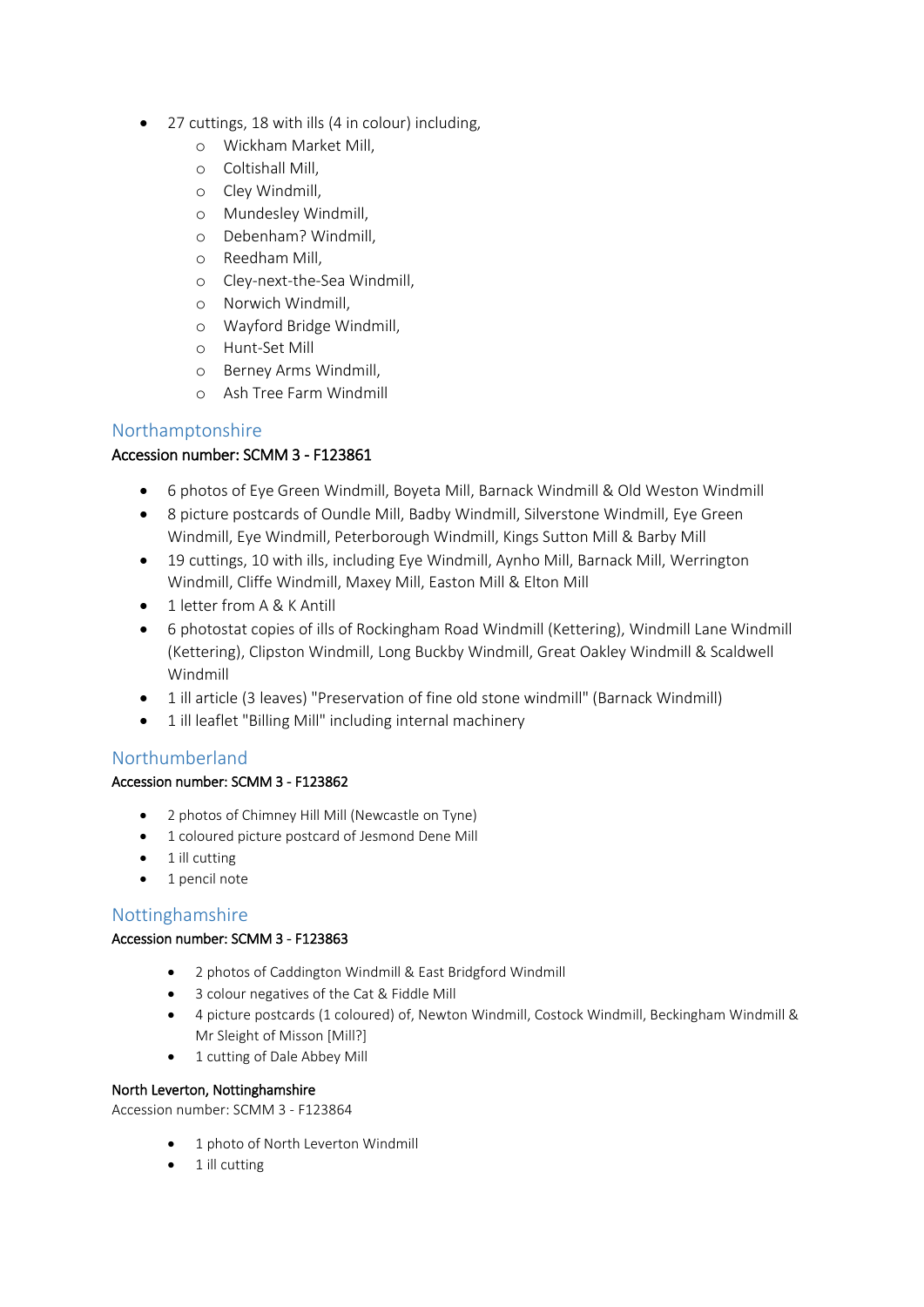- 27 cuttings, 18 with ills (4 in colour) including,
	- o Wickham Market Mill,
	- o Coltishall Mill,
	- o Cley Windmill,
	- o Mundesley Windmill,
	- o Debenham? Windmill,
	- o Reedham Mill,
	- o Cley-next-the-Sea Windmill,
	- o Norwich Windmill,
	- o Wayford Bridge Windmill,
	- o Hunt-Set Mill
	- o Berney Arms Windmill,
	- o Ash Tree Farm Windmill

# Northamptonshire

# Accession number: SCMM 3 - F123861

- 6 photos of Eye Green Windmill, Boyeta Mill, Barnack Windmill & Old Weston Windmill
- 8 picture postcards of Oundle Mill, Badby Windmill, Silverstone Windmill, Eye Green Windmill, Eye Windmill, Peterborough Windmill, Kings Sutton Mill & Barby Mill
- 19 cuttings, 10 with ills, including Eye Windmill, Aynho Mill, Barnack Mill, Werrington Windmill, Cliffe Windmill, Maxey Mill, Easton Mill & Elton Mill
- 1 letter from A & K Antill
- 6 photostat copies of ills of Rockingham Road Windmill (Kettering), Windmill Lane Windmill (Kettering), Clipston Windmill, Long Buckby Windmill, Great Oakley Windmill & Scaldwell Windmill
- 1 ill article (3 leaves) "Preservation of fine old stone windmill" (Barnack Windmill)
- 1 ill leaflet "Billing Mill" including internal machinery

# Northumberland

# Accession number: SCMM 3 - F123862

- 2 photos of Chimney Hill Mill (Newcastle on Tyne)
- 1 coloured picture postcard of Jesmond Dene Mill
- $\bullet$  1 ill cutting
- 1 pencil note

# Nottinghamshire

# Accession number: SCMM 3 - F123863

- 2 photos of Caddington Windmill & East Bridgford Windmill
- 3 colour negatives of the Cat & Fiddle Mill
- 4 picture postcards (1 coloured) of, Newton Windmill, Costock Windmill, Beckingham Windmill & Mr Sleight of Misson [Mill?]
- 1 cutting of Dale Abbey Mill

#### North Leverton, Nottinghamshire

Accession number: SCMM 3 - F123864

- 1 photo of North Leverton Windmill
- $\bullet$  1 ill cutting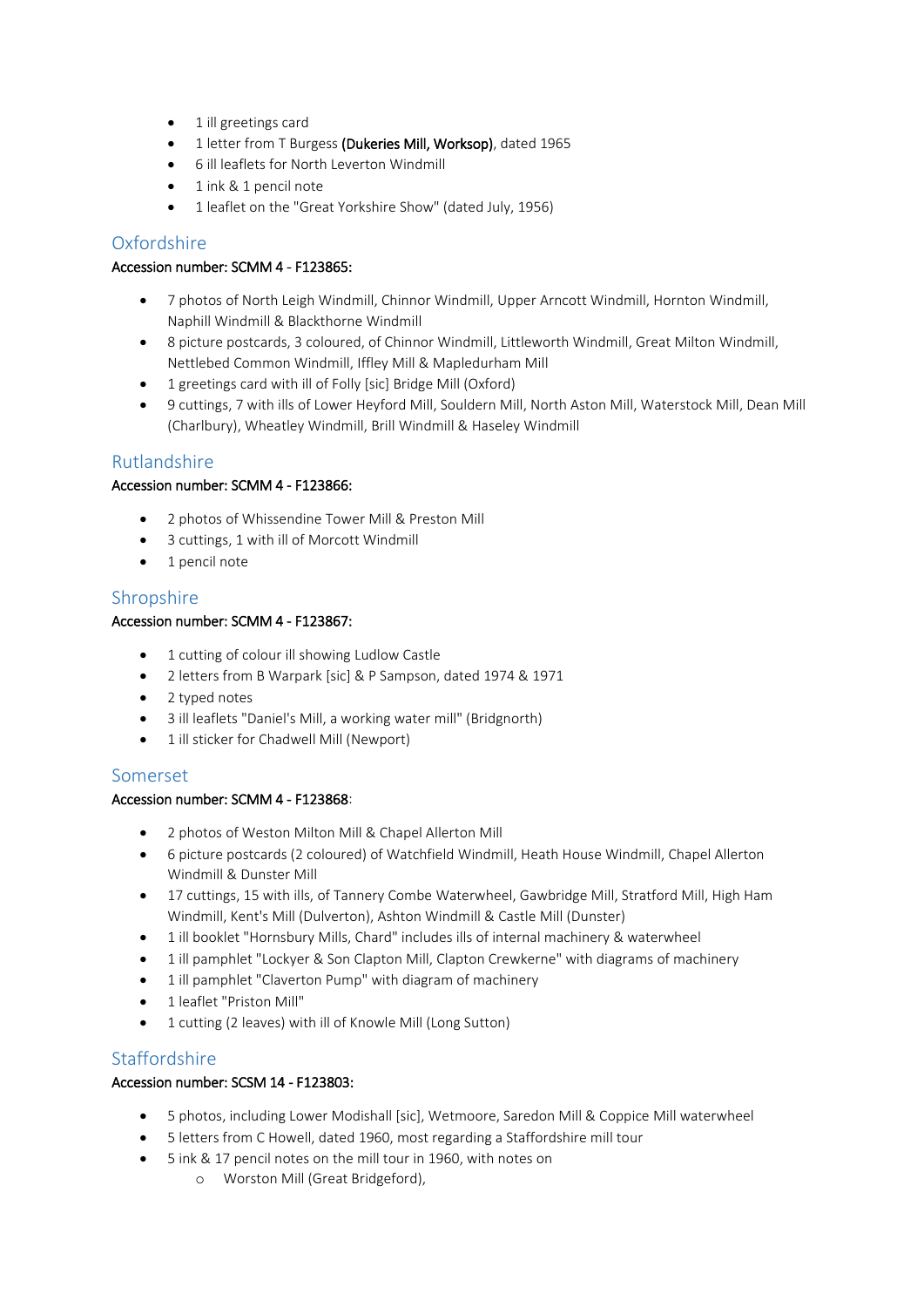- 1 ill greetings card
- 1 letter from T Burgess (Dukeries Mill, Worksop), dated 1965
- 6 ill leaflets for North Leverton Windmill
- 1 ink & 1 pencil note
- 1 leaflet on the "Great Yorkshire Show" (dated July, 1956)

# **Oxfordshire**

#### Accession number: SCMM 4 - F123865:

- 7 photos of North Leigh Windmill, Chinnor Windmill, Upper Arncott Windmill, Hornton Windmill, Naphill Windmill & Blackthorne Windmill
- 8 picture postcards, 3 coloured, of Chinnor Windmill, Littleworth Windmill, Great Milton Windmill, Nettlebed Common Windmill, Iffley Mill & Mapledurham Mill
- 1 greetings card with ill of Folly [sic] Bridge Mill (Oxford)
- 9 cuttings, 7 with ills of Lower Heyford Mill, Souldern Mill, North Aston Mill, Waterstock Mill, Dean Mill (Charlbury), Wheatley Windmill, Brill Windmill & Haseley Windmill

# Rutlandshire

#### Accession number: SCMM 4 - F123866:

- 2 photos of Whissendine Tower Mill & Preston Mill
- 3 cuttings, 1 with ill of Morcott Windmill
- 1 pencil note

# Shropshire

#### Accession number: SCMM 4 - F123867:

- 1 cutting of colour ill showing Ludlow Castle
- 2 letters from B Warpark [sic] & P Sampson, dated 1974 & 1971
- 2 typed notes
- 3 ill leaflets "Daniel's Mill, a working water mill" (Bridgnorth)
- 1 ill sticker for Chadwell Mill (Newport)

#### Somerset

#### Accession number: SCMM 4 - F123868:

- 2 photos of Weston Milton Mill & Chapel Allerton Mill
- 6 picture postcards (2 coloured) of Watchfield Windmill, Heath House Windmill, Chapel Allerton Windmill & Dunster Mill
- 17 cuttings, 15 with ills, of Tannery Combe Waterwheel, Gawbridge Mill, Stratford Mill, High Ham Windmill, Kent's Mill (Dulverton), Ashton Windmill & Castle Mill (Dunster)
- 1 ill booklet "Hornsbury Mills, Chard" includes ills of internal machinery & waterwheel
- 1 ill pamphlet "Lockyer & Son Clapton Mill, Clapton Crewkerne" with diagrams of machinery
- 1 ill pamphlet "Claverton Pump" with diagram of machinery
- 1 leaflet "Priston Mill"
- 1 cutting (2 leaves) with ill of Knowle Mill (Long Sutton)

# **Staffordshire**

#### Accession number: SCSM 14 - F123803:

- 5 photos, including Lower Modishall [sic], Wetmoore, Saredon Mill & Coppice Mill waterwheel
- 5 letters from C Howell, dated 1960, most regarding a Staffordshire mill tour
- 5 ink & 17 pencil notes on the mill tour in 1960, with notes on
	- o Worston Mill (Great Bridgeford),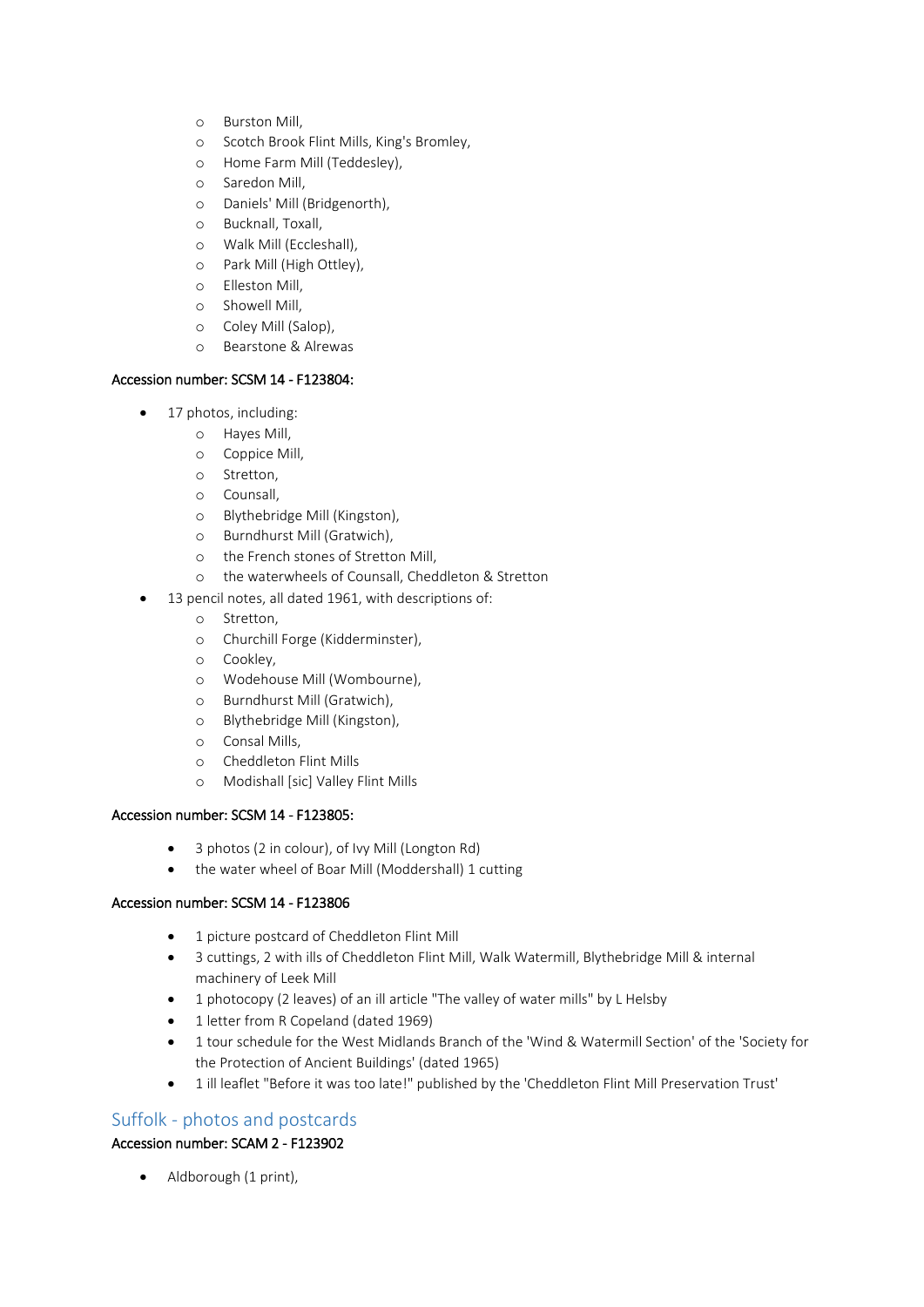- o Burston Mill,
- o Scotch Brook Flint Mills, King's Bromley,
- o Home Farm Mill (Teddesley),
- o Saredon Mill,
- o Daniels' Mill (Bridgenorth),
- o Bucknall, Toxall,
- o Walk Mill (Eccleshall),
- o Park Mill (High Ottley),
- o Elleston Mill,
- o Showell Mill,
- o Coley Mill (Salop),
- o Bearstone & Alrewas

#### Accession number: SCSM 14 - F123804:

- 17 photos, including:
	- o Hayes Mill,
	- o Coppice Mill,
	- o Stretton,
	- o Counsall,
	- o Blythebridge Mill (Kingston),
	- o Burndhurst Mill (Gratwich),
	- o the French stones of Stretton Mill,
	- o the waterwheels of Counsall, Cheddleton & Stretton
	- 13 pencil notes, all dated 1961, with descriptions of:
		- o Stretton,
		- o Churchill Forge (Kidderminster),
		- o Cookley,
		- o Wodehouse Mill (Wombourne),
		- o Burndhurst Mill (Gratwich),
		- o Blythebridge Mill (Kingston),
		- o Consal Mills,
		- o Cheddleton Flint Mills
		- o Modishall [sic] Valley Flint Mills

#### Accession number: SCSM 14 - F123805:

- 3 photos (2 in colour), of Ivy Mill (Longton Rd)
- the water wheel of Boar Mill (Moddershall) 1 cutting

#### Accession number: SCSM 14 - F123806

- 1 picture postcard of Cheddleton Flint Mill
- 3 cuttings, 2 with ills of Cheddleton Flint Mill, Walk Watermill, Blythebridge Mill & internal machinery of Leek Mill
- 1 photocopy (2 leaves) of an ill article "The valley of water mills" by L Helsby
- 1 letter from R Copeland (dated 1969)
- 1 tour schedule for the West Midlands Branch of the 'Wind & Watermill Section' of the 'Society for the Protection of Ancient Buildings' (dated 1965)
- 1 ill leaflet "Before it was too late!" published by the 'Cheddleton Flint Mill Preservation Trust'

#### Suffolk - photos and postcards

#### Accession number: SCAM 2 - F123902

• Aldborough (1 print),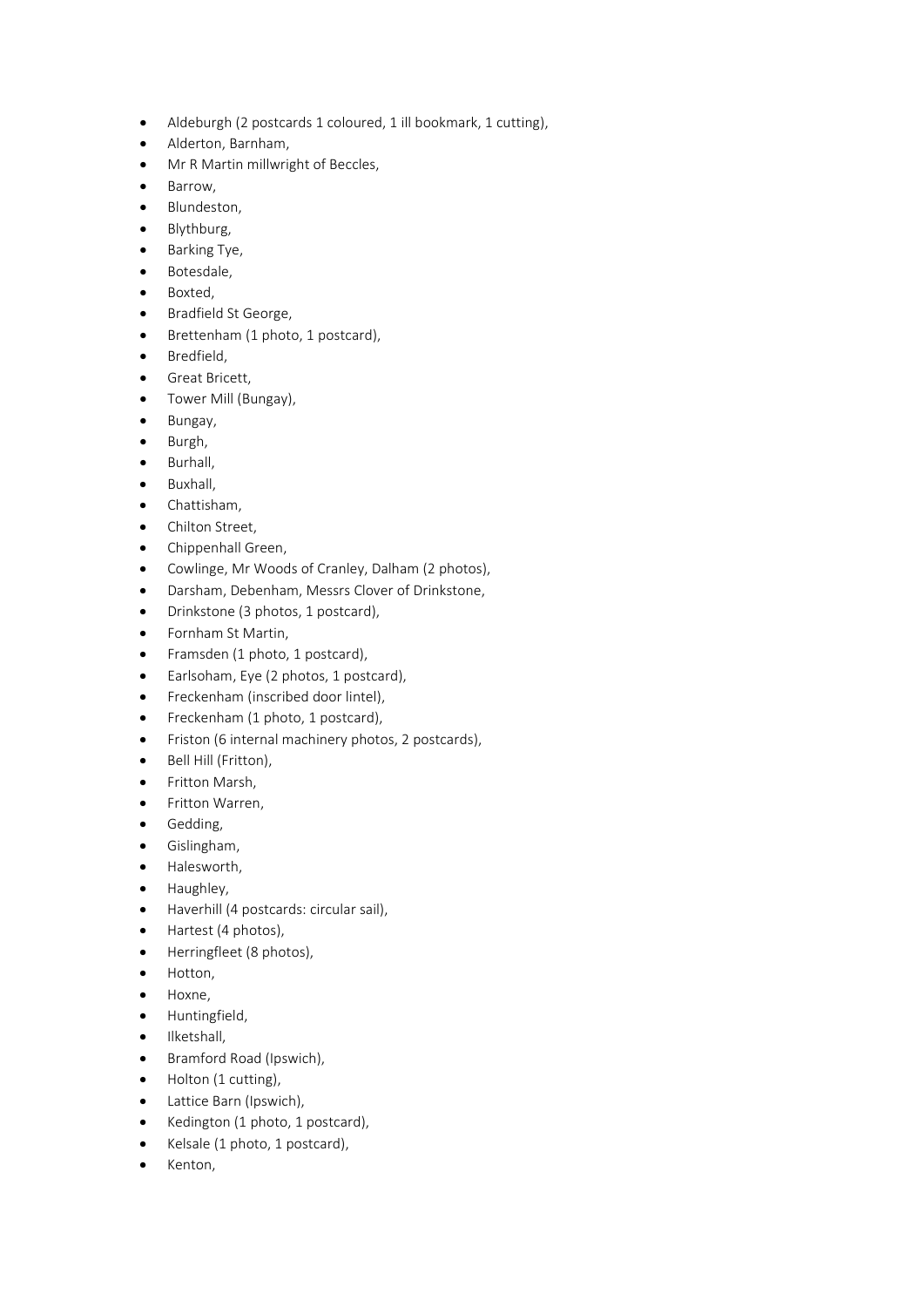- Aldeburgh (2 postcards 1 coloured, 1 ill bookmark, 1 cutting),
- Alderton, Barnham,
- Mr R Martin millwright of Beccles,
- Barrow,
- Blundeston,
- Blythburg,
- Barking Tye,
- Botesdale,
- Boxted,
- Bradfield St George,
- Brettenham (1 photo, 1 postcard),
- Bredfield,
- Great Bricett,
- Tower Mill (Bungay),
- Bungay,
- Burgh,
- Burhall,
- Buxhall,
- Chattisham,
- Chilton Street,
- Chippenhall Green,
- Cowlinge, Mr Woods of Cranley, Dalham (2 photos),
- Darsham, Debenham, Messrs Clover of Drinkstone,
- Drinkstone (3 photos, 1 postcard),
- Fornham St Martin,
- Framsden (1 photo, 1 postcard),
- Earlsoham, Eye (2 photos, 1 postcard),
- Freckenham (inscribed door lintel),
- Freckenham (1 photo, 1 postcard),
- Friston (6 internal machinery photos, 2 postcards),
- Bell Hill (Fritton),
- Fritton Marsh,
- Fritton Warren,
- Gedding,
- Gislingham,
- Halesworth,
- Haughley,
- Haverhill (4 postcards: circular sail),
- Hartest (4 photos),
- Herringfleet (8 photos),
- Hotton,
- Hoxne,
- Huntingfield,
- Ilketshall,
- Bramford Road (Ipswich),
- Holton (1 cutting),
- Lattice Barn (Ipswich),
- Kedington (1 photo, 1 postcard),
- Kelsale (1 photo, 1 postcard),
- Kenton,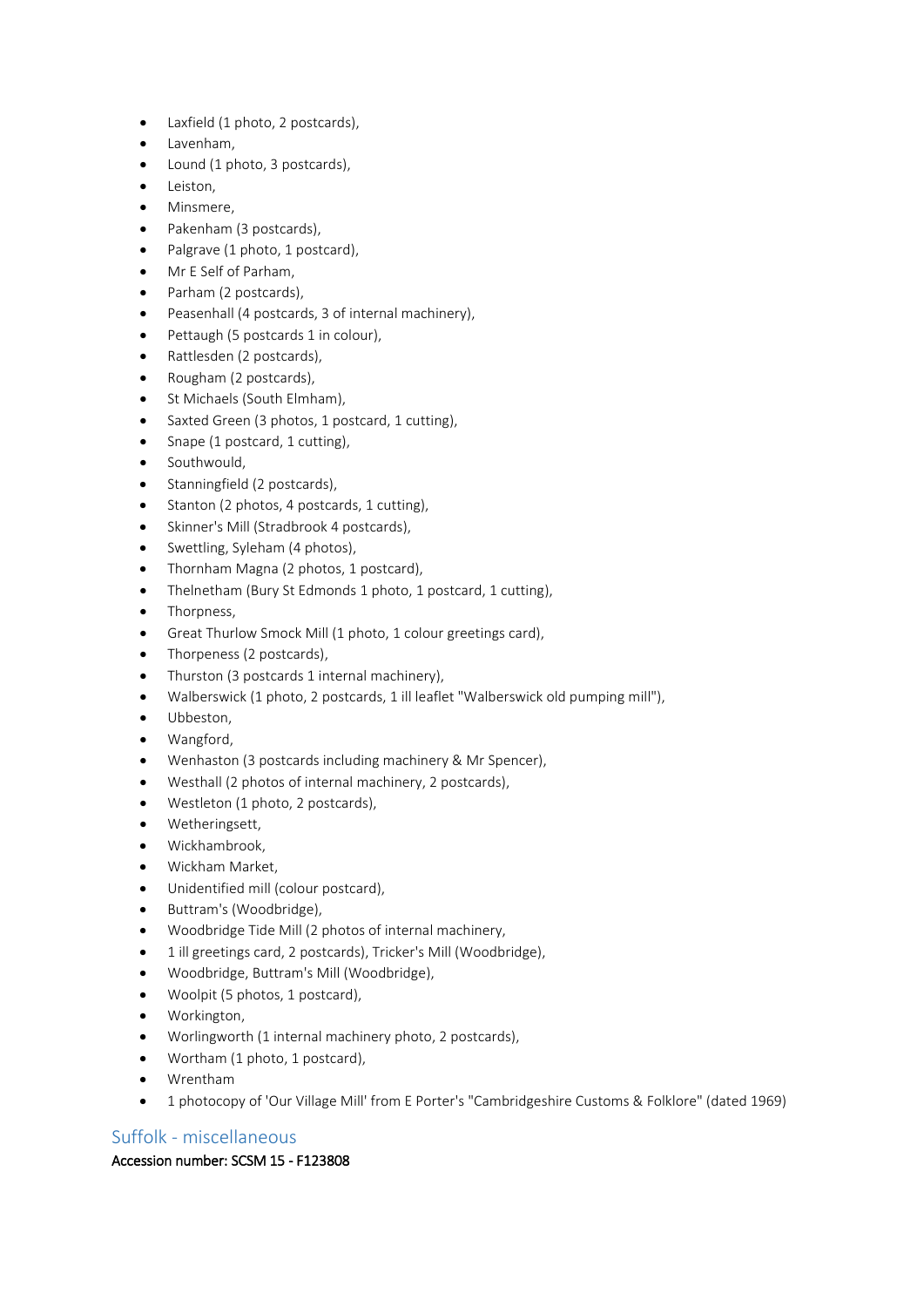- Laxfield (1 photo, 2 postcards),
- Lavenham,
- Lound (1 photo, 3 postcards),
- Leiston,
- Minsmere,
- Pakenham (3 postcards),
- Palgrave (1 photo, 1 postcard),
- Mr E Self of Parham,
- Parham (2 postcards),
- Peasenhall (4 postcards, 3 of internal machinery),
- Pettaugh (5 postcards 1 in colour),
- Rattlesden (2 postcards),
- Rougham (2 postcards),
- St Michaels (South Elmham),
- Saxted Green (3 photos, 1 postcard, 1 cutting),
- Snape (1 postcard, 1 cutting),
- Southwould,
- Stanningfield (2 postcards),
- Stanton (2 photos, 4 postcards, 1 cutting),
- Skinner's Mill (Stradbrook 4 postcards),
- Swettling, Syleham (4 photos),
- Thornham Magna (2 photos, 1 postcard),
- Thelnetham (Bury St Edmonds 1 photo, 1 postcard, 1 cutting),
- Thorpness,
- Great Thurlow Smock Mill (1 photo, 1 colour greetings card),
- Thorpeness (2 postcards),
- Thurston (3 postcards 1 internal machinery),
- Walberswick (1 photo, 2 postcards, 1 ill leaflet "Walberswick old pumping mill"),
- Ubbeston,
- Wangford,
- Wenhaston (3 postcards including machinery & Mr Spencer),
- Westhall (2 photos of internal machinery, 2 postcards),
- Westleton (1 photo, 2 postcards),
- Wetheringsett,
- Wickhambrook,
- Wickham Market,
- Unidentified mill (colour postcard),
- Buttram's (Woodbridge),
- Woodbridge Tide Mill (2 photos of internal machinery,
- 1 ill greetings card, 2 postcards), Tricker's Mill (Woodbridge),
- Woodbridge, Buttram's Mill (Woodbridge),
- Woolpit (5 photos, 1 postcard),
- Workington,
- Worlingworth (1 internal machinery photo, 2 postcards),
- Wortham (1 photo, 1 postcard),
- Wrentham
- 1 photocopy of 'Our Village Mill' from E Porter's "Cambridgeshire Customs & Folklore" (dated 1969)

# Suffolk - miscellaneous

# Accession number: SCSM 15 - F123808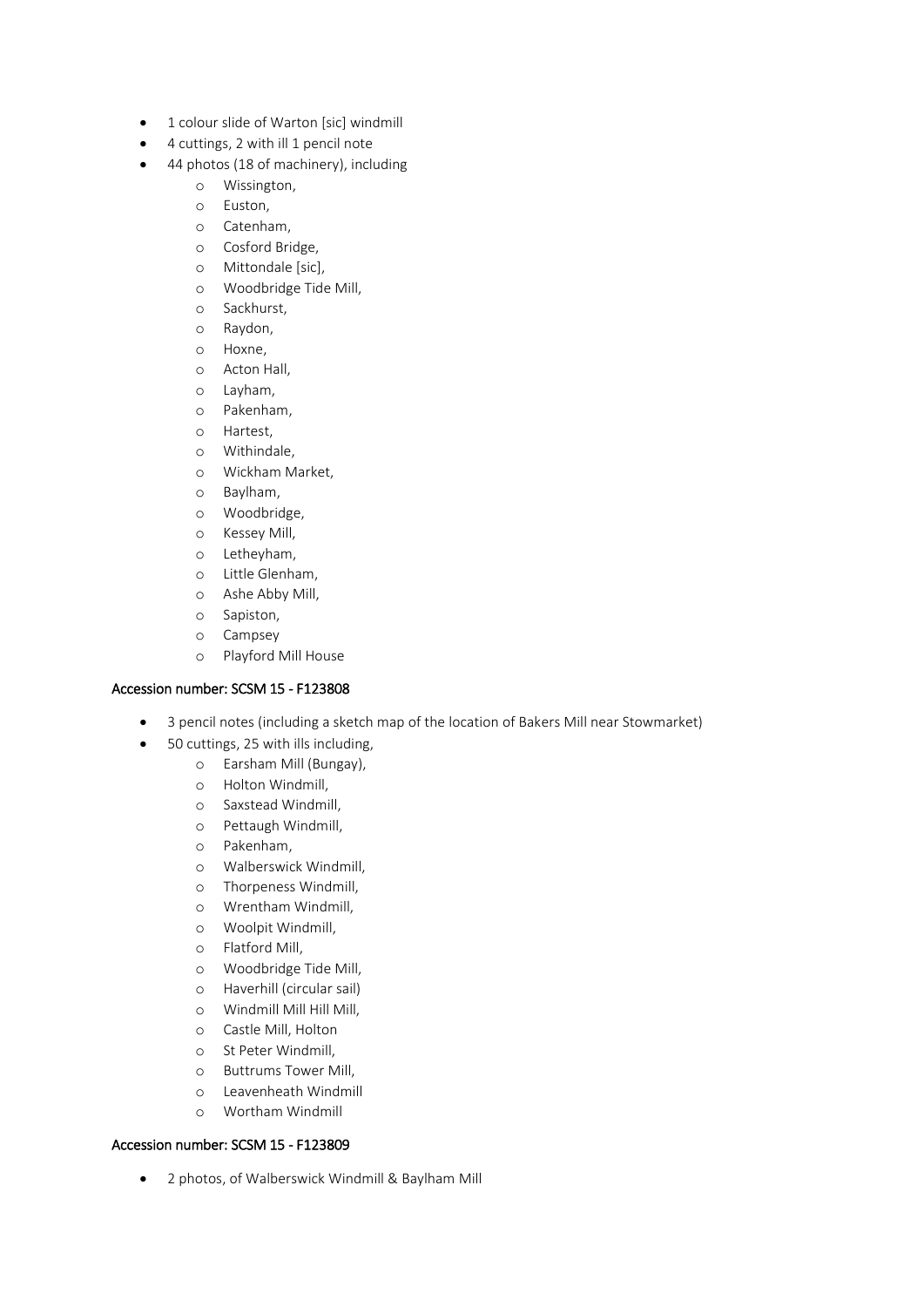- 1 colour slide of Warton [sic] windmill
- 4 cuttings, 2 with ill 1 pencil note
- 44 photos (18 of machinery), including
	- o Wissington,
	- o Euston,
	- o Catenham,
	- o Cosford Bridge,
	- o Mittondale [sic],
	- o Woodbridge Tide Mill,
	- o Sackhurst,
	- o Raydon,
	- o Hoxne,
	- o Acton Hall,
	- o Layham,
	- o Pakenham,
	- o Hartest,
	- o Withindale,
	- o Wickham Market,
	- o Baylham,
	- o Woodbridge,
	- o Kessey Mill,
	- o Letheyham,
	- o Little Glenham,
	- o Ashe Abby Mill,
	- o Sapiston,
	- o Campsey
	- o Playford Mill House

#### Accession number: SCSM 15 - F123808

- 3 pencil notes (including a sketch map of the location of Bakers Mill near Stowmarket)
- 50 cuttings, 25 with ills including,
	- o Earsham Mill (Bungay),
	- o Holton Windmill,
	- o Saxstead Windmill,
	- o Pettaugh Windmill,
	- o Pakenham,
	- o Walberswick Windmill,
	- o Thorpeness Windmill,
	- o Wrentham Windmill,
	- o Woolpit Windmill,
	- o Flatford Mill,
	- o Woodbridge Tide Mill,
	- o Haverhill (circular sail)
	- o Windmill Mill Hill Mill,
	- o Castle Mill, Holton
	- o St Peter Windmill,
	- o Buttrums Tower Mill,
	- o Leavenheath Windmill
	- o Wortham Windmill

#### Accession number: SCSM 15 - F123809

• 2 photos, of Walberswick Windmill & Baylham Mill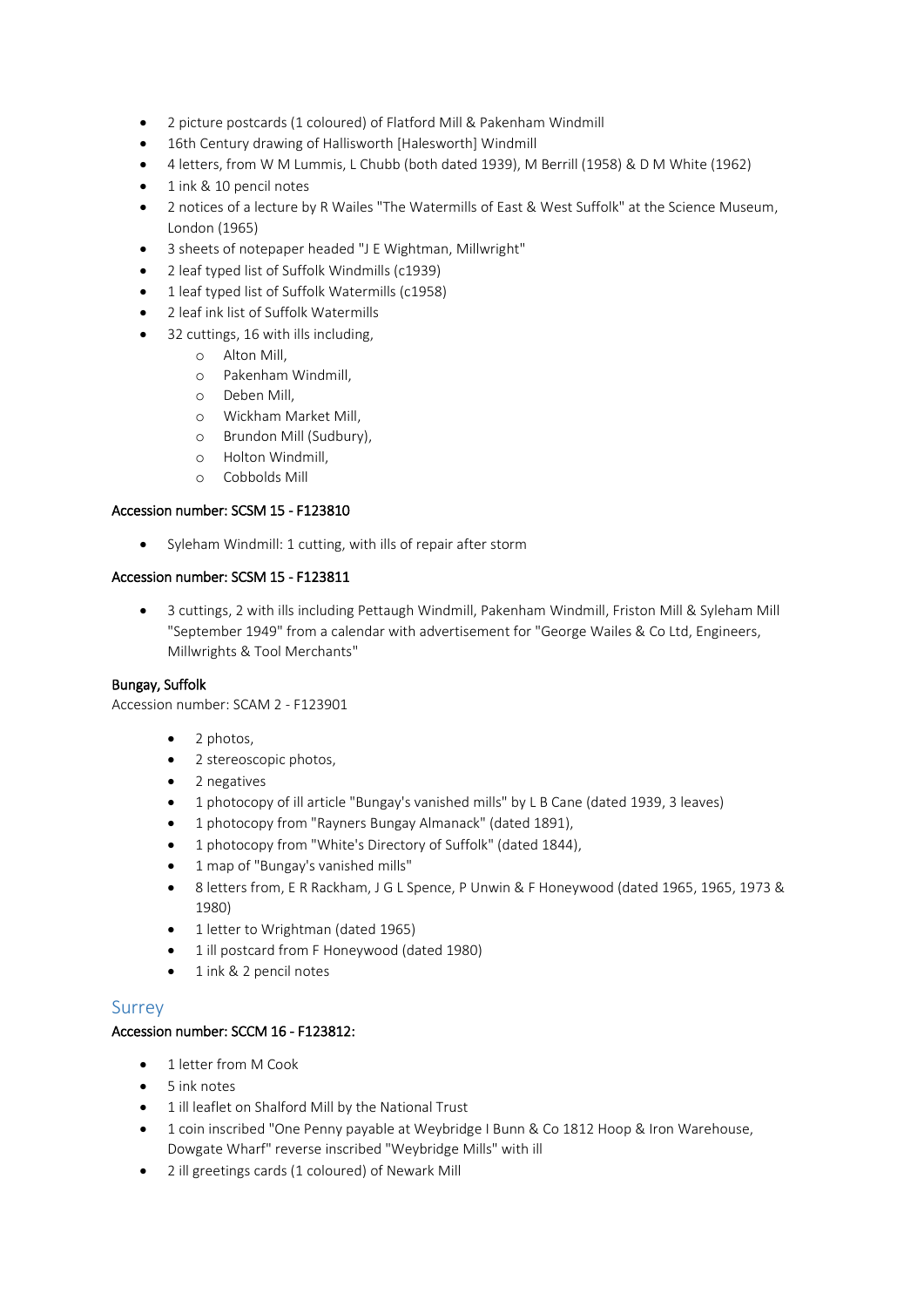- 2 picture postcards (1 coloured) of Flatford Mill & Pakenham Windmill
- 16th Century drawing of Hallisworth [Halesworth] Windmill
- 4 letters, from W M Lummis, L Chubb (both dated 1939), M Berrill (1958) & D M White (1962)
- 1 ink & 10 pencil notes
- 2 notices of a lecture by R Wailes "The Watermills of East & West Suffolk" at the Science Museum, London (1965)
- 3 sheets of notepaper headed "J E Wightman, Millwright"
- 2 leaf typed list of Suffolk Windmills (c1939)
- 1 leaf typed list of Suffolk Watermills (c1958)
- 2 leaf ink list of Suffolk Watermills
- 32 cuttings, 16 with ills including,
	- o Alton Mill,
	- o Pakenham Windmill,
	- o Deben Mill,
	- o Wickham Market Mill,
	- o Brundon Mill (Sudbury),
	- o Holton Windmill,
	- o Cobbolds Mill

#### Accession number: SCSM 15 - F123810

• Syleham Windmill: 1 cutting, with ills of repair after storm

#### Accession number: SCSM 15 - F123811

• 3 cuttings, 2 with ills including Pettaugh Windmill, Pakenham Windmill, Friston Mill & Syleham Mill "September 1949" from a calendar with advertisement for "George Wailes & Co Ltd, Engineers, Millwrights & Tool Merchants"

#### Bungay, Suffolk

Accession number: SCAM 2 - F123901

- 2 photos,
- 2 stereoscopic photos,
- 2 negatives
- 1 photocopy of ill article "Bungay's vanished mills" by L B Cane (dated 1939, 3 leaves)
- 1 photocopy from "Rayners Bungay Almanack" (dated 1891),
- 1 photocopy from "White's Directory of Suffolk" (dated 1844),
- 1 map of "Bungay's vanished mills"
- 8 letters from, E R Rackham, J G L Spence, P Unwin & F Honeywood (dated 1965, 1965, 1973 & 1980)
- 1 letter to Wrightman (dated 1965)
- 1 ill postcard from F Honeywood (dated 1980)
- 1 ink & 2 pencil notes

#### Surrey

#### Accession number: SCCM 16 - F123812:

- 1 letter from M Cook
- 5 ink notes
- 1 ill leaflet on Shalford Mill by the National Trust
- 1 coin inscribed "One Penny payable at Weybridge I Bunn & Co 1812 Hoop & Iron Warehouse, Dowgate Wharf" reverse inscribed "Weybridge Mills" with ill
- 2 ill greetings cards (1 coloured) of Newark Mill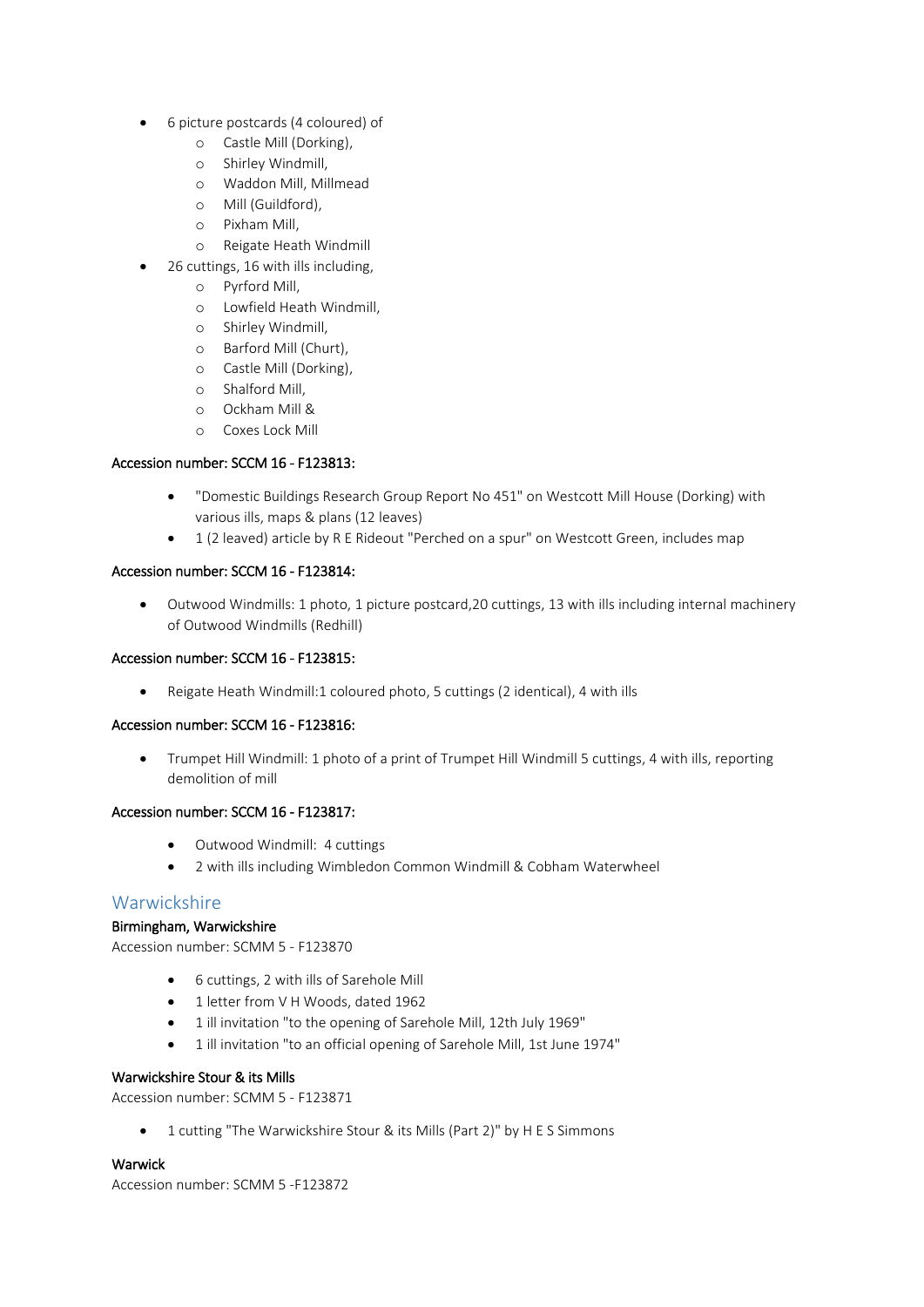- 6 picture postcards (4 coloured) of
	- o Castle Mill (Dorking),
	- o Shirley Windmill,
	- o Waddon Mill, Millmead
	- o Mill (Guildford),
	- o Pixham Mill,
	- o Reigate Heath Windmill
	- 26 cuttings, 16 with ills including,
		- o Pyrford Mill,
		- o Lowfield Heath Windmill,
		- o Shirley Windmill,
		- o Barford Mill (Churt),
		- o Castle Mill (Dorking),
		- o Shalford Mill,
		- o Ockham Mill &
		- o Coxes Lock Mill

#### Accession number: SCCM 16 - F123813:

- "Domestic Buildings Research Group Report No 451" on Westcott Mill House (Dorking) with various ills, maps & plans (12 leaves)
- 1 (2 leaved) article by R E Rideout "Perched on a spur" on Westcott Green, includes map

#### Accession number: SCCM 16 - F123814:

• Outwood Windmills: 1 photo, 1 picture postcard,20 cuttings, 13 with ills including internal machinery of Outwood Windmills (Redhill)

#### Accession number: SCCM 16 - F123815:

• Reigate Heath Windmill:1 coloured photo, 5 cuttings (2 identical), 4 with ills

#### Accession number: SCCM 16 - F123816:

• Trumpet Hill Windmill: 1 photo of a print of Trumpet Hill Windmill 5 cuttings, 4 with ills, reporting demolition of mill

#### Accession number: SCCM 16 - F123817:

- Outwood Windmill: 4 cuttings
- 2 with ills including Wimbledon Common Windmill & Cobham Waterwheel

#### Warwickshire

#### Birmingham, Warwickshire

Accession number: SCMM 5 - F123870

- 6 cuttings, 2 with ills of Sarehole Mill
- 1 letter from V H Woods, dated 1962
- 1 ill invitation "to the opening of Sarehole Mill, 12th July 1969"
- 1 ill invitation "to an official opening of Sarehole Mill, 1st June 1974"

#### Warwickshire Stour & its Mills

Accession number: SCMM 5 - F123871

• 1 cutting "The Warwickshire Stour & its Mills (Part 2)" by H E S Simmons

#### Warwick

Accession number: SCMM 5 -F123872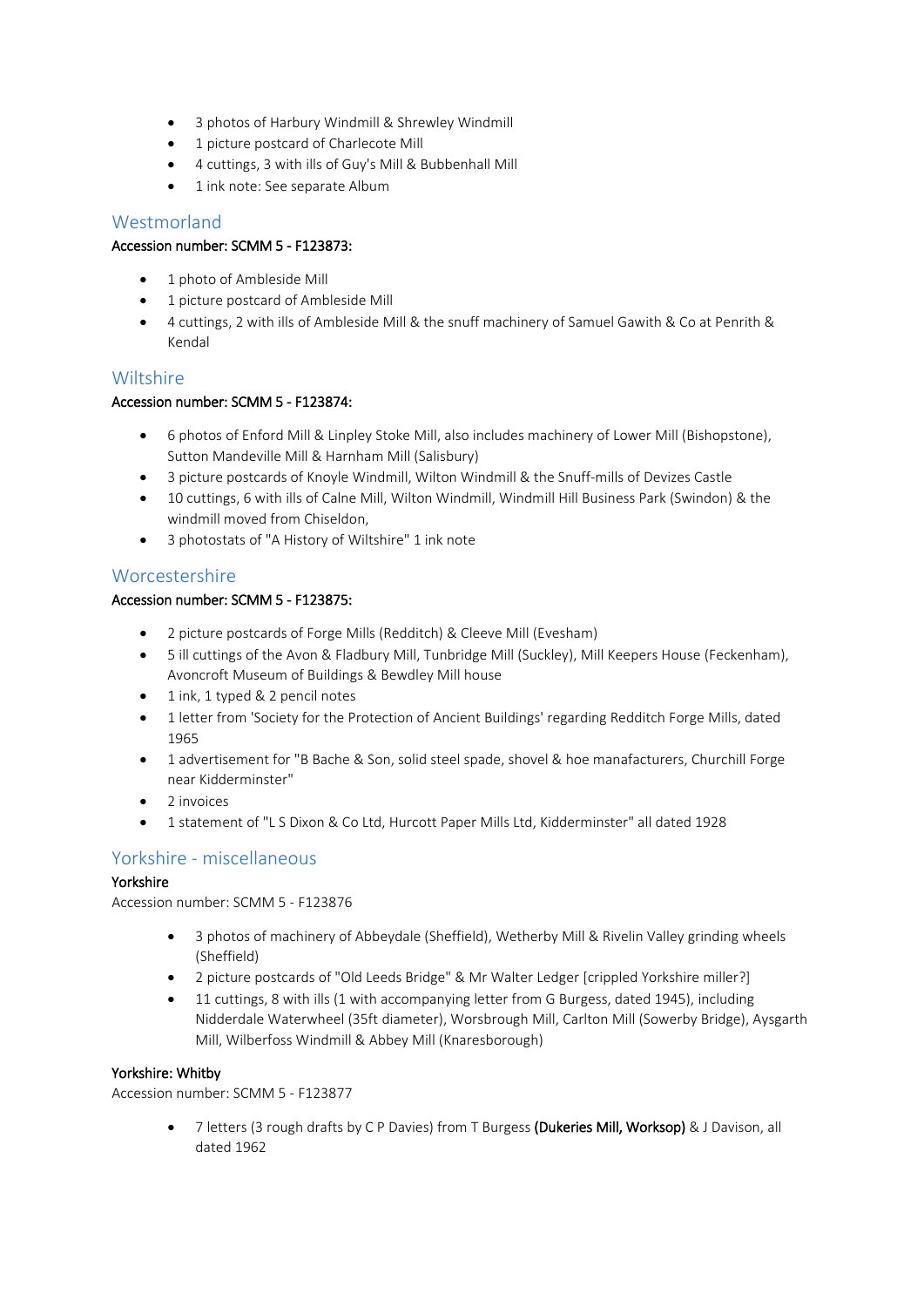- 3 photos of Harbury Windmill & Shrewley Windmill
- 1 picture postcard of Charlecote Mill
- 4 cuttings, 3 with ills of Guy's Mill & Bubbenhall Mill
- 1 ink note: See separate Album

# Westmorland

#### Accession number: SCMM 5 - F123873:

- 1 photo of Ambleside Mill
- 1 picture postcard of Ambleside Mill
- 4 cuttings, 2 with ills of Ambleside Mill & the snuff machinery of Samuel Gawith & Co at Penrith & Kendal

# Wiltshire

#### Accession number: SCMM 5 - F123874:

- 6 photos of Enford Mill & Linpley Stoke Mill, also includes machinery of Lower Mill (Bishopstone), Sutton Mandeville Mill & Harnham Mill (Salisbury)
- 3 picture postcards of Knoyle Windmill, Wilton Windmill & the Snuff-mills of Devizes Castle
- 10 cuttings, 6 with ills of Calne Mill, Wilton Windmill, Windmill Hill Business Park (Swindon) & the windmill moved from Chiseldon,
- 3 photostats of "A History of Wiltshire" 1 ink note

# Worcestershire

#### Accession number: SCMM 5 - F123875:

- 2 picture postcards of Forge Mills (Redditch) & Cleeve Mill (Evesham)
- 5 ill cuttings of the Avon & Fladbury Mill, Tunbridge Mill (Suckley), Mill Keepers House (Feckenham), Avoncroft Museum of Buildings & Bewdley Mill house
- 1 ink, 1 typed & 2 pencil notes
- 1 letter from 'Society for the Protection of Ancient Buildings' regarding Redditch Forge Mills, dated 1965
- 1 advertisement for "B Bache & Son, solid steel spade, shovel & hoe manafacturers, Churchill Forge near Kidderminster"
- 2 invoices
- 1 statement of "L S Dixon & Co Ltd, Hurcott Paper Mills Ltd, Kidderminster" all dated 1928

# Yorkshire - miscellaneous

#### Yorkshire

Accession number: SCMM 5 - F123876

- 3 photos of machinery of Abbeydale (Sheffield), Wetherby Mill & Rivelin Valley grinding wheels (Sheffield)
- 2 picture postcards of "Old Leeds Bridge" & Mr Walter Ledger [crippled Yorkshire miller?]
- 11 cuttings, 8 with ills (1 with accompanying letter from G Burgess, dated 1945), including Nidderdale Waterwheel (35ft diameter), Worsbrough Mill, Carlton Mill (Sowerby Bridge), Aysgarth Mill, Wilberfoss Windmill & Abbey Mill (Knaresborough)

#### Yorkshire: Whitby

Accession number: SCMM 5 - F123877

7 letters (3 rough drafts by C P Davies) from T Burgess (Dukeries Mill, Worksop) & J Davison, all dated 1962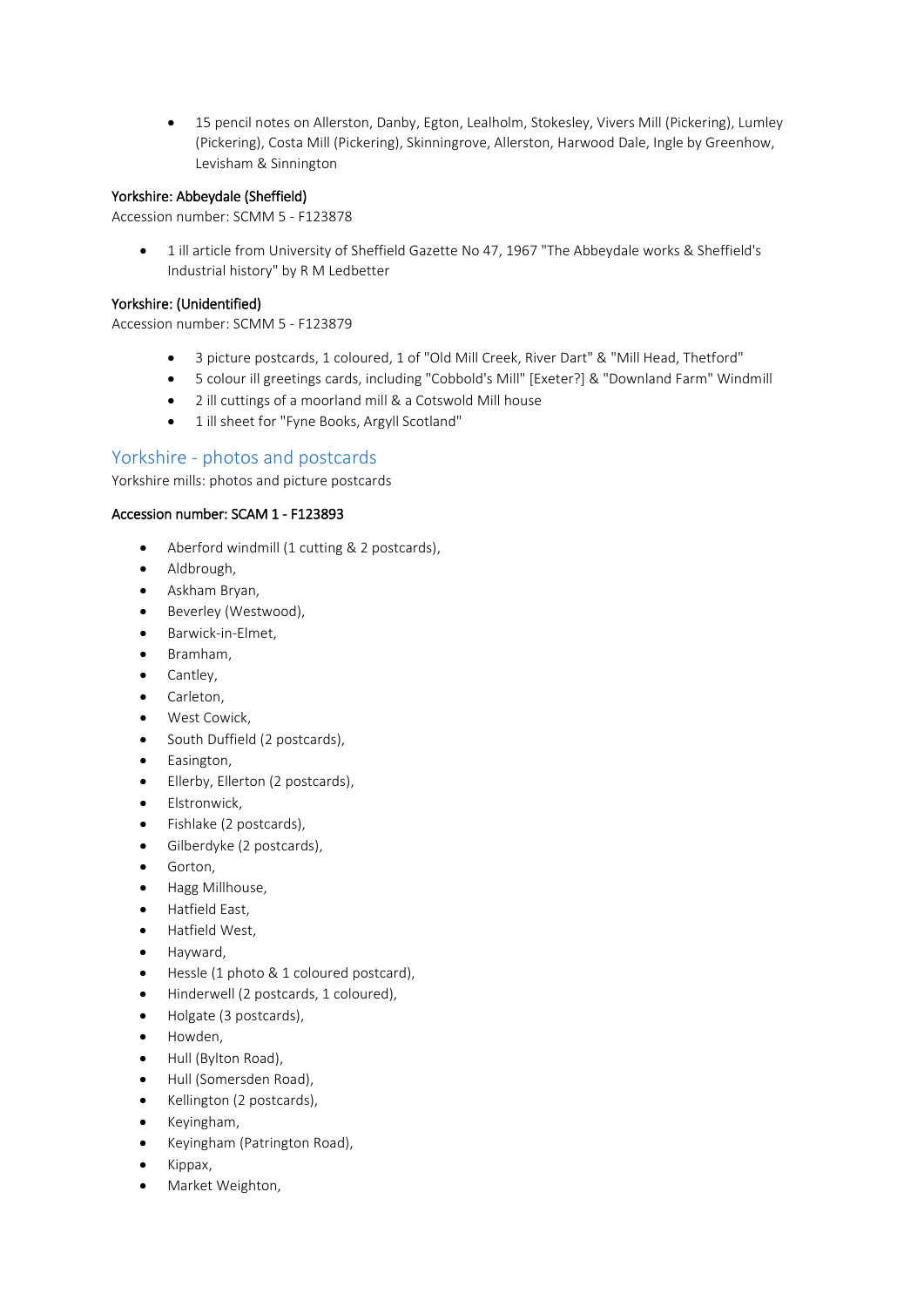• 15 pencil notes on Allerston, Danby, Egton, Lealholm, Stokesley, Vivers Mill (Pickering), Lumley (Pickering), Costa Mill (Pickering), Skinningrove, Allerston, Harwood Dale, Ingle by Greenhow, Levisham & Sinnington

#### Yorkshire: Abbeydale (Sheffield)

Accession number: SCMM 5 - F123878

• 1 ill article from University of Sheffield Gazette No 47, 1967 "The Abbeydale works & Sheffield's Industrial history" by R M Ledbetter

#### Yorkshire: (Unidentified)

Accession number: SCMM 5 - F123879

- 3 picture postcards, 1 coloured, 1 of "Old Mill Creek, River Dart" & "Mill Head, Thetford"
- 5 colour ill greetings cards, including "Cobbold's Mill" [Exeter?] & "Downland Farm" Windmill
- 2 ill cuttings of a moorland mill & a Cotswold Mill house
- 1 ill sheet for "Fyne Books, Argyll Scotland"

# Yorkshire - photos and postcards

Yorkshire mills: photos and picture postcards

#### Accession number: SCAM 1 - F123893

- Aberford windmill (1 cutting & 2 postcards),
- Aldbrough,
- Askham Bryan,
- Beverley (Westwood),
- Barwick-in-Elmet,
- Bramham,
- Cantley,
- Carleton,
- West Cowick,
- South Duffield (2 postcards),
- Easington,
- Ellerby, Ellerton (2 postcards),
- Elstronwick,
- Fishlake (2 postcards),
- Gilberdyke (2 postcards),
- Gorton,
- Hagg Millhouse,
- Hatfield East,
- Hatfield West,
- Hayward,
- Hessle (1 photo & 1 coloured postcard),
- Hinderwell (2 postcards, 1 coloured),
- Holgate (3 postcards),
- Howden,
- Hull (Bylton Road),
- Hull (Somersden Road),
- Kellington (2 postcards),
- Keyingham,
- Keyingham (Patrington Road),
- Kippax,
- Market Weighton,